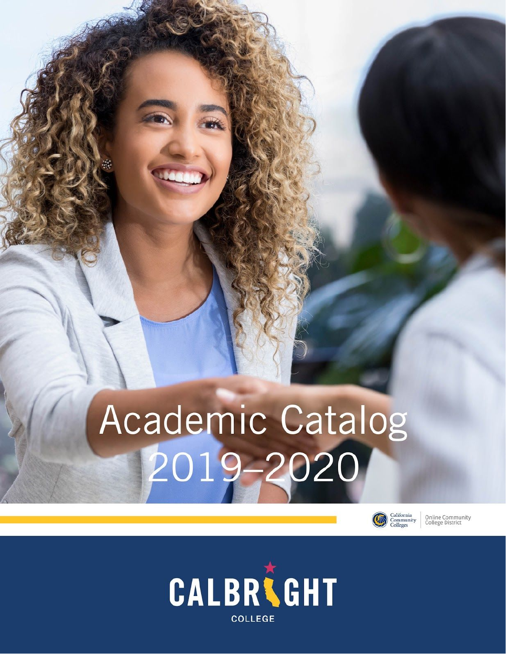# Academic Catalog<br>2019-2020



Online Community<br>College District

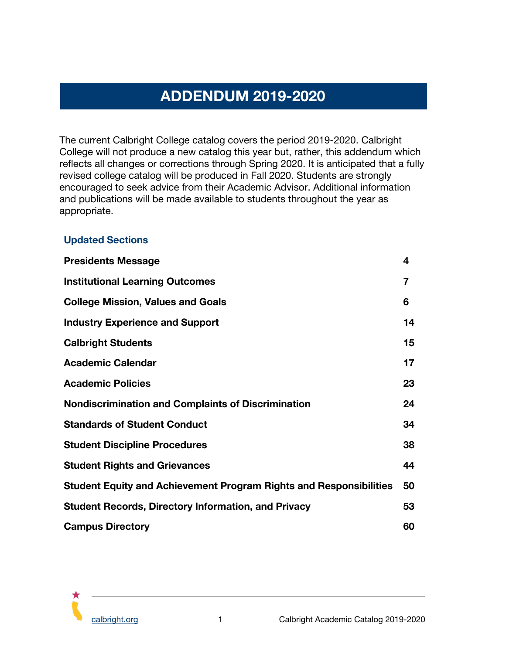# **ADDENDUM 2019-2020**

<span id="page-1-0"></span>The current Calbright College catalog covers the period 2019-2020. Calbright College will not produce a new catalog this year but, rather, this addendum which reflects all changes or corrections through Spring 2020. It is anticipated that a fully revised college catalog will be produced in Fall 2020. Students are strongly encouraged to seek advice from their Academic Advisor. Additional information and publications will be made available to students throughout the year as appropriate.

#### <span id="page-1-1"></span>**Updated Sections**

| <b>Presidents Message</b>                                          | 4  |
|--------------------------------------------------------------------|----|
| <b>Institutional Learning Outcomes</b>                             | 7  |
| <b>College Mission, Values and Goals</b>                           | 6  |
| <b>Industry Experience and Support</b>                             | 14 |
| <b>Calbright Students</b>                                          | 15 |
| <b>Academic Calendar</b>                                           | 17 |
| <b>Academic Policies</b>                                           | 23 |
| <b>Nondiscrimination and Complaints of Discrimination</b>          | 24 |
| <b>Standards of Student Conduct</b>                                | 34 |
| <b>Student Discipline Procedures</b>                               | 38 |
| <b>Student Rights and Grievances</b>                               | 44 |
| Student Equity and Achievement Program Rights and Responsibilities | 50 |
| <b>Student Records, Directory Information, and Privacy</b>         | 53 |
| <b>Campus Directory</b>                                            | 60 |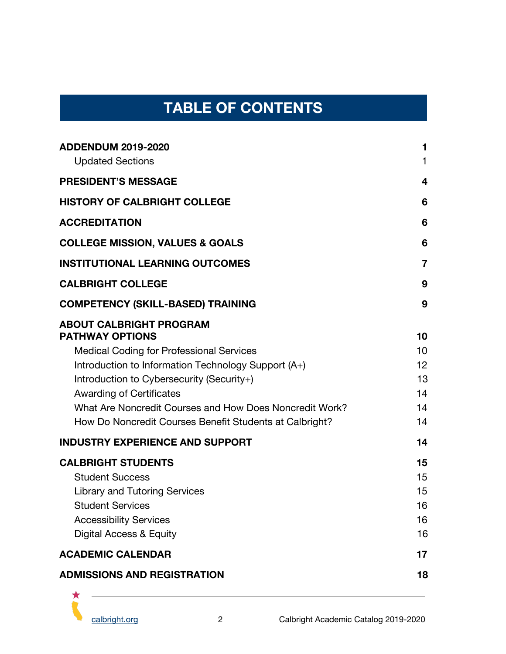# **TABLE OF CONTENTS**

| <b>ADMISSIONS AND REGISTRATION</b>                                                                                                                    | 18                   |
|-------------------------------------------------------------------------------------------------------------------------------------------------------|----------------------|
| <b>ACADEMIC CALENDAR</b>                                                                                                                              | 17                   |
| <b>Library and Tutoring Services</b><br><b>Student Services</b><br><b>Accessibility Services</b><br>Digital Access & Equity                           | 15<br>16<br>16<br>16 |
| <b>CALBRIGHT STUDENTS</b><br><b>Student Success</b>                                                                                                   | 15<br>15             |
| <b>INDUSTRY EXPERIENCE AND SUPPORT</b>                                                                                                                | 14                   |
| <b>Awarding of Certificates</b><br>What Are Noncredit Courses and How Does Noncredit Work?<br>How Do Noncredit Courses Benefit Students at Calbright? | 14<br>14<br>14       |
| Introduction to Information Technology Support (A+)<br>Introduction to Cybersecurity (Security+)                                                      | 12<br>13             |
| <b>ABOUT CALBRIGHT PROGRAM</b><br><b>PATHWAY OPTIONS</b><br><b>Medical Coding for Professional Services</b>                                           | 10<br>10             |
| <b>COMPETENCY (SKILL-BASED) TRAINING</b>                                                                                                              | 9                    |
| <b>CALBRIGHT COLLEGE</b>                                                                                                                              | 9                    |
| <b>INSTITUTIONAL LEARNING OUTCOMES</b>                                                                                                                | $\overline{7}$       |
| <b>COLLEGE MISSION, VALUES &amp; GOALS</b>                                                                                                            | 6                    |
| <b>ACCREDITATION</b>                                                                                                                                  | 6                    |
| <b>HISTORY OF CALBRIGHT COLLEGE</b>                                                                                                                   | 6                    |
| <b>PRESIDENT'S MESSAGE</b>                                                                                                                            | 4                    |
| <b>ADDENDUM 2019-2020</b><br><b>Updated Sections</b>                                                                                                  | 1<br>1               |

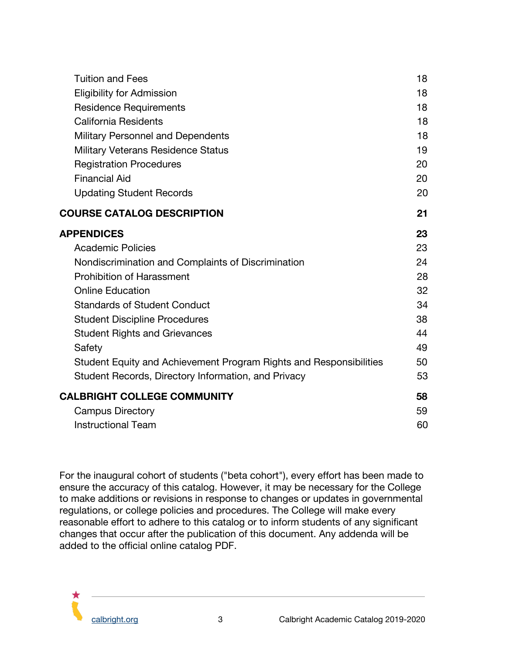| <b>Tuition and Fees</b>                                            | 18 |
|--------------------------------------------------------------------|----|
| <b>Eligibility for Admission</b>                                   | 18 |
| <b>Residence Requirements</b>                                      | 18 |
| <b>California Residents</b>                                        | 18 |
| Military Personnel and Dependents                                  | 18 |
| <b>Military Veterans Residence Status</b>                          | 19 |
| <b>Registration Procedures</b>                                     | 20 |
| <b>Financial Aid</b>                                               | 20 |
| <b>Updating Student Records</b>                                    | 20 |
| <b>COURSE CATALOG DESCRIPTION</b>                                  | 21 |
| <b>APPENDICES</b>                                                  | 23 |
| <b>Academic Policies</b>                                           | 23 |
| Nondiscrimination and Complaints of Discrimination                 | 24 |
| <b>Prohibition of Harassment</b>                                   | 28 |
| <b>Online Education</b>                                            | 32 |
| <b>Standards of Student Conduct</b>                                | 34 |
| <b>Student Discipline Procedures</b>                               | 38 |
| <b>Student Rights and Grievances</b>                               | 44 |
| Safety                                                             | 49 |
| Student Equity and Achievement Program Rights and Responsibilities | 50 |
| Student Records, Directory Information, and Privacy                | 53 |
| <b>CALBRIGHT COLLEGE COMMUNITY</b>                                 | 58 |
| <b>Campus Directory</b>                                            | 59 |
| <b>Instructional Team</b>                                          | 60 |

For the inaugural cohort of students ("beta cohort"), every effort has been made to ensure the accuracy of this catalog. However, it may be necessary for the College to make additions or revisions in response to changes or updates in governmental regulations, or college policies and procedures. The College will make every reasonable effort to adhere to this catalog or to inform students of any significant changes that occur after the publication of this document. Any addenda will be added to the official online catalog PDF.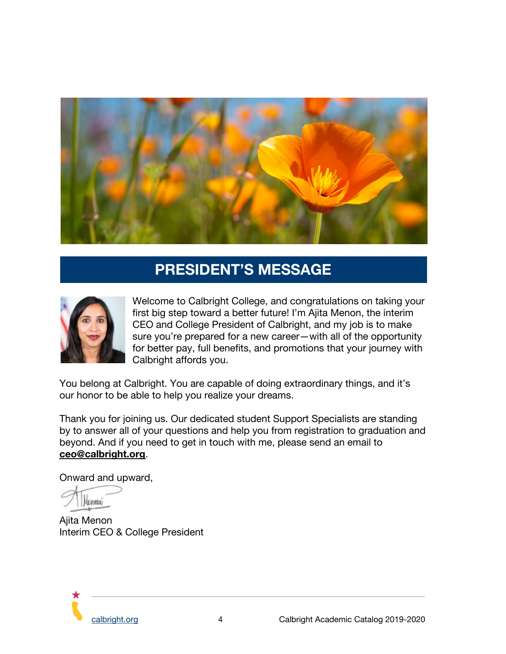

# **PRESIDENT'S MESSAGE**

<span id="page-4-0"></span>

Welcome to Calbright College, and congratulations on taking your first big step toward a better future! I'm Ajita Menon, the interim CEO and College President of Calbright, and my job is to make sure you're prepared for a new career—with all of the opportunity for better pay, full benefits, and promotions that your journey with Calbright affords you.

You belong at Calbright. You are capable of doing extraordinary things, and it's our honor to be able to help you realize your dreams.

Thank you for joining us. Our dedicated student Support Specialists are standing by to answer all of your questions and help you from registration to graduation and beyond. And if you need to get in touch with me, please send an email to **[ceo@calbright.org](mailto:ceo@calbright.org)**.

Onward and upward,

**Henew** 

Ajita Menon Interim CEO & College President

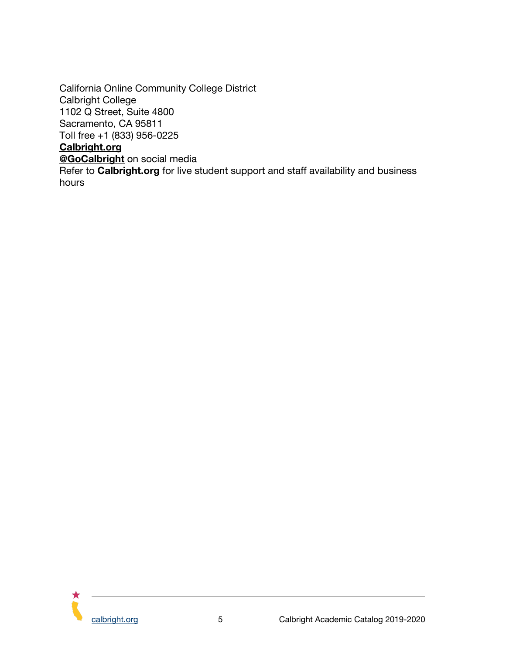California Online Community College District Calbright College 1102 Q Street, Suite 4800 Sacramento, CA 95811 Toll free +1 (833) 956-0225 **[Calbright.org](http://www.calbright.org/) [@GoCalbright](https://www.facebook.com/GoCalbright/)** on social media Refer to **[Calbright.org](http://www.calbright.org/)** for live student support and staff availability and business hours

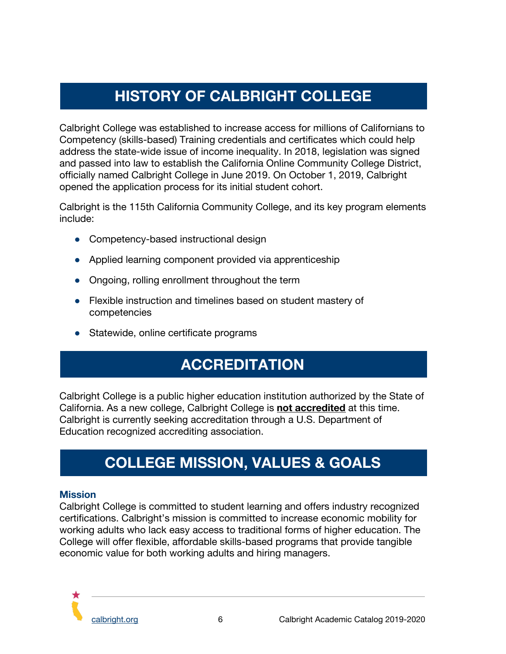# **HISTORY OF CALBRIGHT COLLEGE**

<span id="page-6-1"></span>Calbright College was established to increase access for millions of Californians to Competency (skills-based) Training credentials and certificates which could help address the state-wide issue of income inequality. In 2018, legislation was signed and passed into law to establish the California Online Community College District, officially named Calbright College in June 2019. On October 1, 2019, Calbright opened the application process for its initial student cohort.

Calbright is the 115th California Community College, and its key program elements include:

- Competency-based instructional design
- Applied learning component provided via apprenticeship
- Ongoing, rolling enrollment throughout the term
- Flexible instruction and timelines based on student mastery of competencies
- <span id="page-6-2"></span>● Statewide, online certificate programs

# **ACCREDITATION**

Calbright College is a public higher education institution authorized by the State of California. As a new college, Calbright College is **[not accredited](https://docs.google.com/document/d/15mJnFs_RDCOj5XISUhRDRpoMhaO3oUZBwXjSzvAVrc8/edit?usp=sharing)** at this time. Calbright is currently seeking accreditation through a U.S. Department of Education recognized accrediting association.

# **COLLEGE MISSION, VALUES & GOALS**

#### <span id="page-6-0"></span>**Mission**

Calbright College is committed to student learning and offers industry recognized certifications. Calbright's mission is committed to increase economic mobility for working adults who lack easy access to traditional forms of higher education. The College will offer flexible, affordable skills-based programs that provide tangible economic value for both working adults and hiring managers.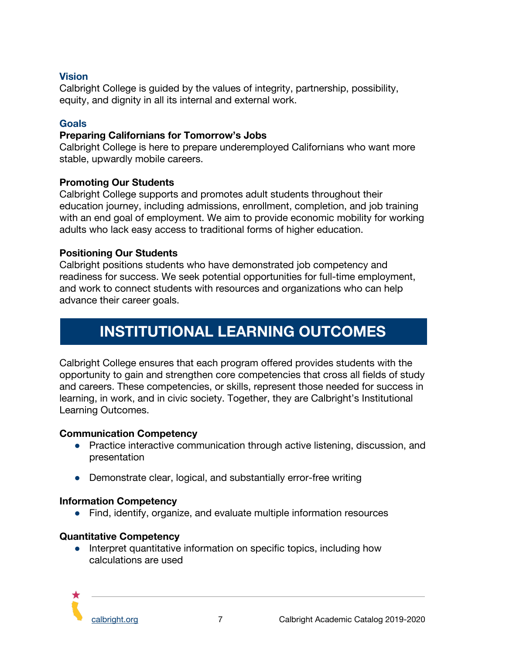#### **Vision**

Calbright College is guided by the values of integrity, partnership, possibility, equity, and dignity in all its internal and external work.

#### **Goals**

#### **Preparing Californians for Tomorrow's Jobs**

Calbright College is here to prepare underemployed Californians who want more stable, upwardly mobile careers.

#### **Promoting Our Students**

Calbright College supports and promotes adult students throughout their education journey, including admissions, enrollment, completion, and job training with an end goal of employment. We aim to provide economic mobility for working adults who lack easy access to traditional forms of higher education.

#### **Positioning Our Students**

Calbright positions students who have demonstrated job competency and readiness for success. We seek potential opportunities for full-time employment, and work to connect students with resources and organizations who can help advance their career goals.

# **INSTITUTIONAL LEARNING OUTCOMES**

<span id="page-7-0"></span>Calbright College ensures that each program offered provides students with the opportunity to gain and strengthen core competencies that cross all fields of study and careers. These competencies, or skills, represent those needed for success in learning, in work, and in civic society. Together, they are Calbright's Institutional Learning Outcomes.

#### **Communication Competency**

- Practice interactive communication through active listening, discussion, and presentation
- Demonstrate clear, logical, and substantially error-free writing

#### **Information Competency**

● Find, identify, organize, and evaluate multiple information resources

#### **Quantitative Competency**

• Interpret quantitative information on specific topics, including how calculations are used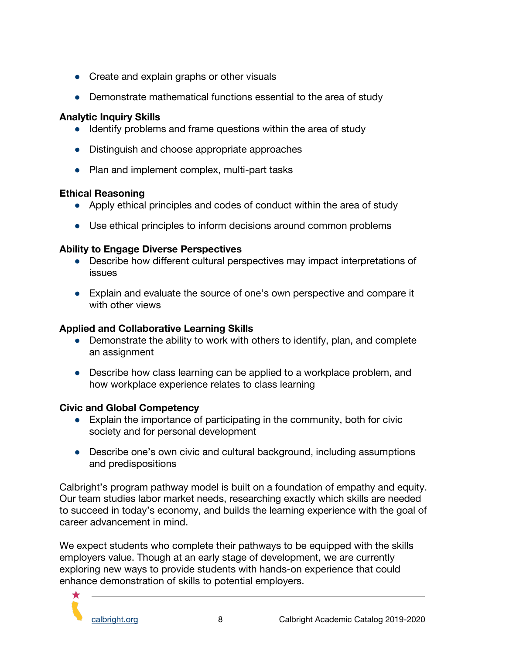- Create and explain graphs or other visuals
- Demonstrate mathematical functions essential to the area of study

## **Analytic Inquiry Skills**

- Identify problems and frame questions within the area of study
- Distinguish and choose appropriate approaches
- Plan and implement complex, multi-part tasks

## **Ethical Reasoning**

- Apply ethical principles and codes of conduct within the area of study
- Use ethical principles to inform decisions around common problems

# **Ability to Engage Diverse Perspectives**

- Describe how different cultural perspectives may impact interpretations of issues
- Explain and evaluate the source of one's own perspective and compare it with other views

## **Applied and Collaborative Learning Skills**

- Demonstrate the ability to work with others to identify, plan, and complete an assignment
- Describe how class learning can be applied to a workplace problem, and how workplace experience relates to class learning

# **Civic and Global Competency**

- Explain the importance of participating in the community, both for civic society and for personal development
- Describe one's own civic and cultural background, including assumptions and predispositions

Calbright's program pathway model is built on a foundation of empathy and equity. Our team studies labor market needs, researching exactly which skills are needed to succeed in today's economy, and builds the learning experience with the goal of career advancement in mind.

We expect students who complete their pathways to be equipped with the skills employers value. Though at an early stage of development, we are currently exploring new ways to provide students with hands-on experience that could enhance demonstration of skills to potential employers.

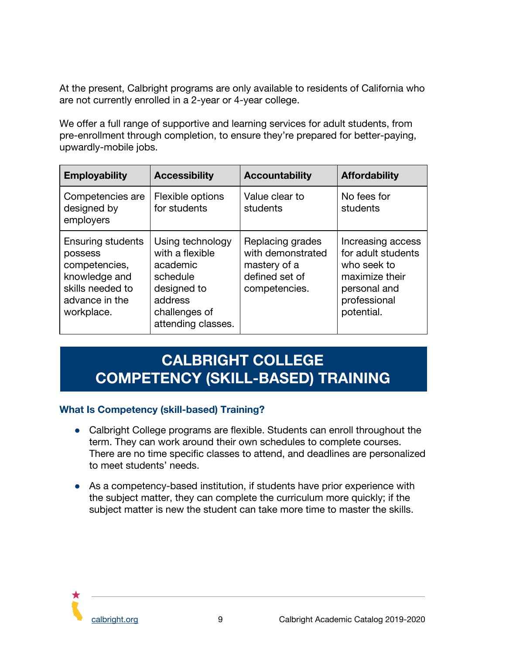At the present, Calbright programs are only available to residents of California who are not currently enrolled in a 2-year or 4-year college.

We offer a full range of supportive and learning services for adult students, from pre-enrollment through completion, to ensure they're prepared for better-paying, upwardly-mobile jobs.

| <b>Employability</b>                                                                                                      | <b>Accessibility</b>                                                                                                         | <b>Accountability</b>                                                                    | <b>Affordability</b>                                                                                                   |
|---------------------------------------------------------------------------------------------------------------------------|------------------------------------------------------------------------------------------------------------------------------|------------------------------------------------------------------------------------------|------------------------------------------------------------------------------------------------------------------------|
| Competencies are<br>designed by<br>employers                                                                              | Flexible options<br>for students                                                                                             | Value clear to<br>students                                                               | No fees for<br>students                                                                                                |
| <b>Ensuring students</b><br>possess<br>competencies,<br>knowledge and<br>skills needed to<br>advance in the<br>workplace. | Using technology<br>with a flexible<br>academic<br>schedule<br>designed to<br>address<br>challenges of<br>attending classes. | Replacing grades<br>with demonstrated<br>mastery of a<br>defined set of<br>competencies. | Increasing access<br>for adult students<br>who seek to<br>maximize their<br>personal and<br>professional<br>potential. |

# <span id="page-9-0"></span>**CALBRIGHT COLLEGE COMPETENCY (SKILL-BASED) TRAINING**

#### <span id="page-9-1"></span>**What Is Competency (skill-based) Training?**

- Calbright College programs are flexible. Students can enroll throughout the term. They can work around their own schedules to complete courses. There are no time specific classes to attend, and deadlines are personalized to meet students' needs.
- As a competency-based institution, if students have prior experience with the subject matter, they can complete the curriculum more quickly; if the subject matter is new the student can take more time to master the skills.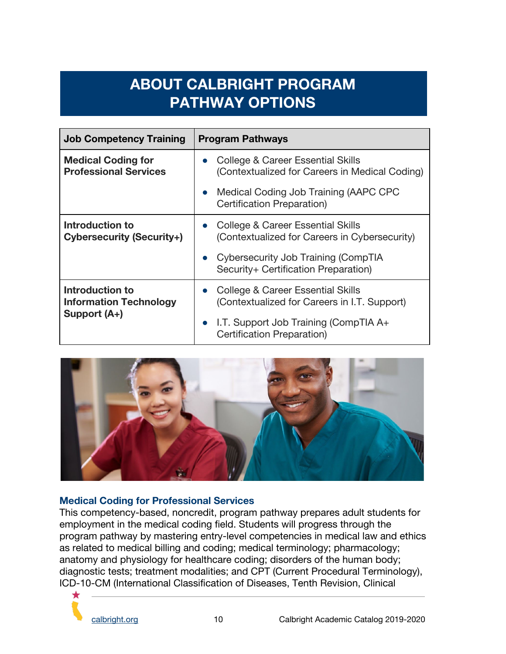# **ABOUT CALBRIGHT PROGRAM PATHWAY OPTIONS**

<span id="page-10-0"></span>

| <b>Job Competency Training</b>                                          | <b>Program Pathways</b>                                                                          |
|-------------------------------------------------------------------------|--------------------------------------------------------------------------------------------------|
| <b>Medical Coding for</b><br><b>Professional Services</b>               | College & Career Essential Skills<br>$\bullet$<br>(Contextualized for Careers in Medical Coding) |
|                                                                         | Medical Coding Job Training (AAPC CPC<br>$\bullet$<br>Certification Preparation)                 |
| Introduction to<br><b>Cybersecurity (Security+)</b>                     | College & Career Essential Skills<br>$\bullet$<br>(Contextualized for Careers in Cybersecurity)  |
|                                                                         | Cybersecurity Job Training (CompTIA<br>$\bullet$<br>Security+ Certification Preparation)         |
| <b>Introduction to</b><br><b>Information Technology</b><br>Support (A+) | College & Career Essential Skills<br>$\bullet$<br>(Contextualized for Careers in I.T. Support)   |
|                                                                         | • I.T. Support Job Training (CompTIA $A+$<br>Certification Preparation)                          |



#### <span id="page-10-1"></span>**Medical Coding for Professional Services**

This competency-based, noncredit, program pathway prepares adult students for employment in the medical coding field. Students will progress through the program pathway by mastering entry-level competencies in medical law and ethics as related to medical billing and coding; medical terminology; pharmacology; anatomy and physiology for healthcare coding; disorders of the human body; diagnostic tests; treatment modalities; and CPT (Current Procedural Terminology), ICD-10-CM (International Classification of Diseases, Tenth Revision, Clinical

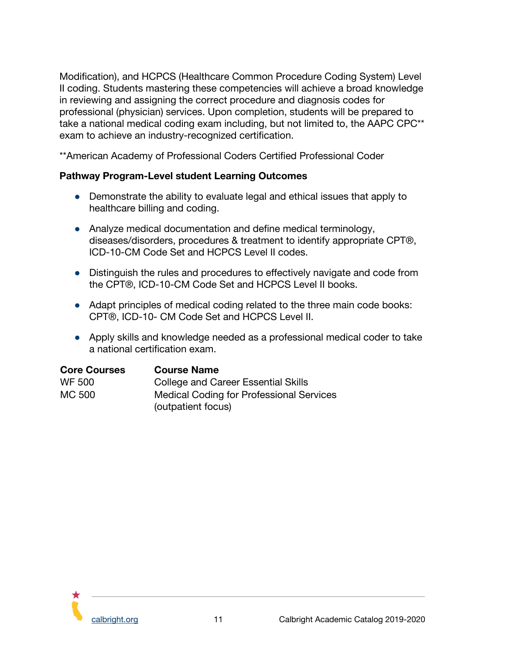Modification), and HCPCS (Healthcare Common Procedure Coding System) Level II coding. Students mastering these competencies will achieve a broad knowledge in reviewing and assigning the correct procedure and diagnosis codes for professional (physician) services. Upon completion, students will be prepared to take a national medical coding exam including, but not limited to, the AAPC CPC\*\* exam to achieve an industry-recognized certification.

\*\*American Academy of Professional Coders Certified Professional Coder

#### **Pathway Program-Level student Learning Outcomes**

- Demonstrate the ability to evaluate legal and ethical issues that apply to healthcare billing and coding.
- Analyze medical documentation and define medical terminology, diseases/disorders, procedures & treatment to identify appropriate CPT®, ICD-10-CM Code Set and HCPCS Level II codes.
- Distinguish the rules and procedures to effectively navigate and code from the CPT®, ICD-10-CM Code Set and HCPCS Level II books.
- Adapt principles of medical coding related to the three main code books: CPT®, ICD-10- CM Code Set and HCPCS Level II.
- Apply skills and knowledge needed as a professional medical coder to take a national certification exam.

| <b>Core Courses</b> | <b>Course Name</b>                                                    |
|---------------------|-----------------------------------------------------------------------|
| WF 500              | College and Career Essential Skills                                   |
| MC 500              | <b>Medical Coding for Professional Services</b><br>(outpatient focus) |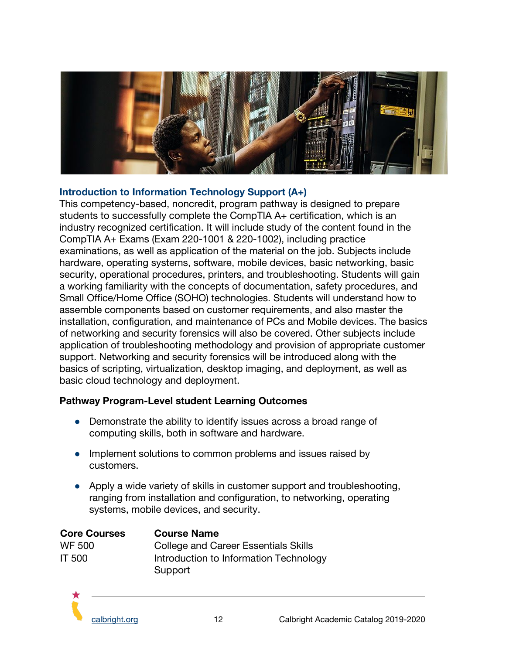

#### <span id="page-12-0"></span>**Introduction to Information Technology Support (A+)**

This competency-based, noncredit, program pathway is designed to prepare students to successfully complete the CompTIA A+ certification, which is an industry recognized certification. It will include study of the content found in the CompTIA A+ Exams (Exam 220-1001 & 220-1002), including practice examinations, as well as application of the material on the job. Subjects include hardware, operating systems, software, mobile devices, basic networking, basic security, operational procedures, printers, and troubleshooting. Students will gain a working familiarity with the concepts of documentation, safety procedures, and Small Office/Home Office (SOHO) technologies. Students will understand how to assemble components based on customer requirements, and also master the installation, configuration, and maintenance of PCs and Mobile devices. The basics of networking and security forensics will also be covered. Other subjects include application of troubleshooting methodology and provision of appropriate customer support. Networking and security forensics will be introduced along with the basics of scripting, virtualization, desktop imaging, and deployment, as well as basic cloud technology and deployment.

#### **Pathway Program-Level student Learning Outcomes**

- Demonstrate the ability to identify issues across a broad range of computing skills, both in software and hardware.
- Implement solutions to common problems and issues raised by customers.
- Apply a wide variety of skills in customer support and troubleshooting, ranging from installation and configuration, to networking, operating systems, mobile devices, and security.

| <b>Core Courses</b> | <b>Course Name</b>                     |
|---------------------|----------------------------------------|
| WF 500              | College and Career Essentials Skills   |
| <b>IT 500</b>       | Introduction to Information Technology |
|                     | Support                                |

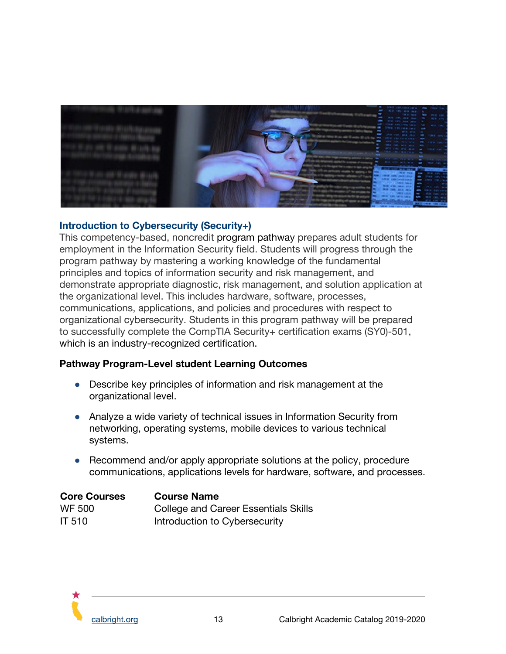

#### <span id="page-13-0"></span>**Introduction to Cybersecurity (Security+)**

This competency-based, noncredit program pathway prepares adult students for employment in the Information Security field. Students will progress through the program pathway by mastering a working knowledge of the fundamental principles and topics of information security and risk management, and demonstrate appropriate diagnostic, risk management, and solution application at the organizational level. This includes hardware, software, processes, communications, applications, and policies and procedures with respect to organizational cybersecurity. Students in this program pathway will be prepared to successfully complete the CompTIA Security+ certification exams (SY0)-501, which is an industry-recognized certification.

#### **Pathway Program-Level student Learning Outcomes**

- Describe key principles of information and risk management at the organizational level.
- Analyze a wide variety of technical issues in Information Security from networking, operating systems, mobile devices to various technical systems.
- Recommend and/or apply appropriate solutions at the policy, procedure communications, applications levels for hardware, software, and processes.

| <b>Core Courses</b> | <b>Course Name</b>                   |
|---------------------|--------------------------------------|
| <b>WF 500</b>       | College and Career Essentials Skills |
| IT 510              | Introduction to Cybersecurity        |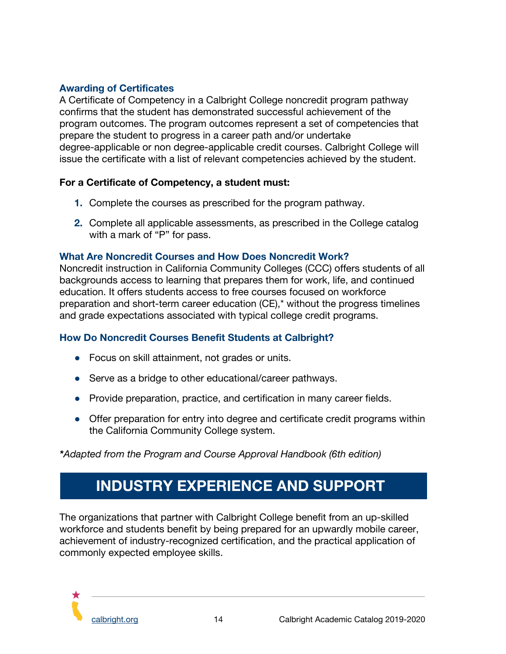## <span id="page-14-1"></span>**Awarding of Certificates**

A Certificate of Competency in a Calbright College noncredit program pathway confirms that the student has demonstrated successful achievement of the program outcomes. The program outcomes represent a set of competencies that prepare the student to progress in a career path and/or undertake degree-applicable or non degree-applicable credit courses. Calbright College will issue the certificate with a list of relevant competencies achieved by the student.

#### **For a Certificate of Competency, a student must:**

- **1.** Complete the courses as prescribed for the program pathway.
- **2.** Complete all applicable assessments, as prescribed in the College catalog with a mark of "P" for pass.

#### <span id="page-14-2"></span>**What Are Noncredit Courses and How Does Noncredit Work?**

Noncredit instruction in California Community Colleges (CCC) offers students of all backgrounds access to learning that prepares them for work, life, and continued education. It offers students access to free courses focused on workforce preparation and short-term career education (CE),\* without the progress timelines and grade expectations associated with typical college credit programs.

#### <span id="page-14-3"></span>**How Do Noncredit Courses Benefit Students at Calbright?**

- Focus on skill attainment, not grades or units.
- Serve as a bridge to other educational/career pathways.
- Provide preparation, practice, and certification in many career fields.
- Offer preparation for entry into degree and certificate credit programs within the California Community College system.

<span id="page-14-0"></span>*\*Adapted from the Program and Course Approval Handbook (6th edition)*

# **INDUSTRY EXPERIENCE AND SUPPORT**

The organizations that partner with Calbright College benefit from an up-skilled workforce and students benefit by being prepared for an upwardly mobile career, achievement of industry-recognized certification, and the practical application of commonly expected employee skills.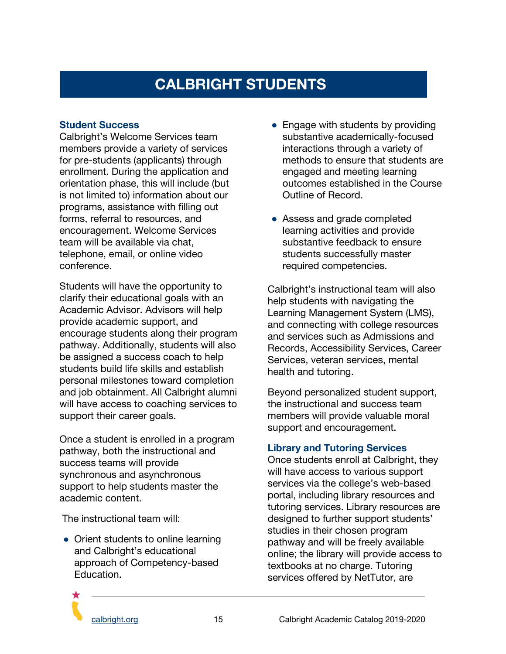# **CALBRIGHT STUDENTS**

#### <span id="page-15-1"></span><span id="page-15-0"></span>**Student Success**

Calbright's Welcome Services team members provide a variety of services for pre-students (applicants) through enrollment. During the application and orientation phase, this will include (but is not limited to) information about our programs, assistance with filling out forms, referral to resources, and encouragement. Welcome Services team will be available via chat, telephone, email, or online video conference.

Students will have the opportunity to clarify their educational goals with an Academic Advisor. Advisors will help provide academic support, and encourage students along their program pathway. Additionally, students will also be assigned a success coach to help students build life skills and establish personal milestones toward completion and job obtainment. All Calbright alumni will have access to coaching services to support their career goals.

Once a student is enrolled in a program pathway, both the instructional and success teams will provide synchronous and asynchronous support to help students master the academic content.

The instructional team will:

• Orient students to online learning and Calbright's educational approach of Competency-based Education.

- Engage with students by providing substantive academically-focused interactions through a variety of methods to ensure that students are engaged and meeting learning outcomes established in the Course Outline of Record.
- Assess and grade completed learning activities and provide substantive feedback to ensure students successfully master required competencies.

Calbright's instructional team will also help students with navigating the Learning Management System (LMS), and connecting with college resources and services such as Admissions and Records, Accessibility Services, Career Services, veteran services, mental health and tutoring.

Beyond personalized student support, the instructional and success team members will provide valuable moral support and encouragement.

#### <span id="page-15-2"></span>**Library and Tutoring Services**

Once students enroll at Calbright, they will have access to various support services via the college's web-based portal, including library resources and tutoring services. Library resources are designed to further support students' studies in their chosen program pathway and will be freely available online; the library will provide access to textbooks at no charge. Tutoring services offered by NetTutor, are

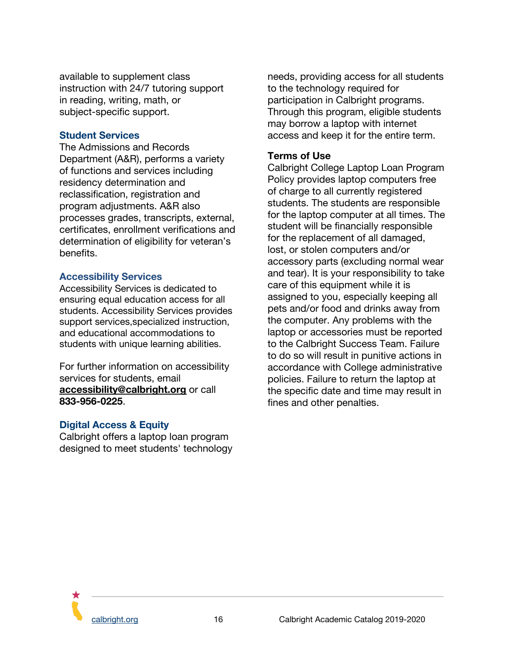available to supplement class instruction with 24/7 tutoring support in reading, writing, math, or subject-specific support.

#### <span id="page-16-0"></span>**Student Services**

The Admissions and Records Department (A&R), performs a variety of functions and services including residency determination and reclassification, registration and program adjustments. A&R also processes grades, transcripts, external, certificates, enrollment verifications and determination of eligibility for veteran's benefits.

#### <span id="page-16-1"></span>**Accessibility Services**

Accessibility Services is dedicated to ensuring equal education access for all students. Accessibility Services provides support services,specialized instruction, and educational accommodations to students with unique learning abilities.

For further information on accessibility services for students, email **[accessibility@calbright.org](mailto:accessibility@calbright.org)** or call **833-956-0225**.

#### <span id="page-16-2"></span>**Digital Access & Equity**

Calbright offers a laptop loan program designed to meet students' technology needs, providing access for all students to the technology required for participation in Calbright programs. Through this program, eligible students may borrow a laptop with internet access and keep it for the entire term.

#### **Terms of Use**

Calbright College Laptop Loan Program Policy provides laptop computers free of charge to all currently registered students. The students are responsible for the laptop computer at all times. The student will be financially responsible for the replacement of all damaged, lost, or stolen computers and/or accessory parts (excluding normal wear and tear). It is your responsibility to take care of this equipment while it is assigned to you, especially keeping all pets and/or food and drinks away from the computer. Any problems with the laptop or accessories must be reported to the Calbright Success Team. Failure to do so will result in punitive actions in accordance with College administrative policies. Failure to return the laptop at the specific date and time may result in fines and other penalties.

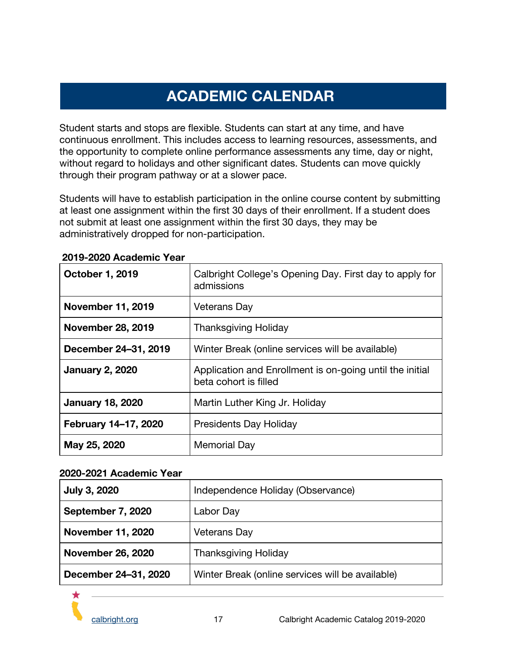# **ACADEMIC CALENDAR**

<span id="page-17-0"></span>Student starts and stops are flexible. Students can start at any time, and have continuous enrollment. This includes access to learning resources, assessments, and the opportunity to complete online performance assessments any time, day or night, without regard to holidays and other significant dates. Students can move quickly through their program pathway or at a slower pace.

Students will have to establish participation in the online course content by submitting at least one assignment within the first 30 days of their enrollment. If a student does not submit at least one assignment within the first 30 days, they may be administratively dropped for non-participation.

| October 1, 2019          | Calbright College's Opening Day. First day to apply for<br>admissions             |
|--------------------------|-----------------------------------------------------------------------------------|
| <b>November 11, 2019</b> | Veterans Day                                                                      |
| <b>November 28, 2019</b> | <b>Thanksgiving Holiday</b>                                                       |
| December 24-31, 2019     | Winter Break (online services will be available)                                  |
| <b>January 2, 2020</b>   | Application and Enrollment is on-going until the initial<br>beta cohort is filled |
| <b>January 18, 2020</b>  | Martin Luther King Jr. Holiday                                                    |
| February 14-17, 2020     | <b>Presidents Day Holiday</b>                                                     |
| May 25, 2020             | <b>Memorial Day</b>                                                               |

#### **2019-2020 Academic Year**

#### **2020-2021 Academic Year**

| <b>July 3, 2020</b>      | Independence Holiday (Observance)                |
|--------------------------|--------------------------------------------------|
| September 7, 2020        | Labor Day                                        |
| <b>November 11, 2020</b> | Veterans Day                                     |
| <b>November 26, 2020</b> | <b>Thanksgiving Holiday</b>                      |
| December 24-31, 2020     | Winter Break (online services will be available) |

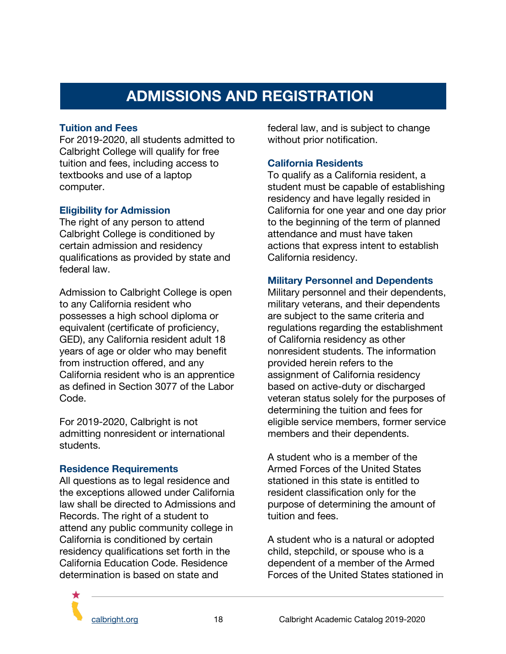# **ADMISSIONS AND REGISTRATION**

#### <span id="page-18-1"></span><span id="page-18-0"></span>**Tuition and Fees**

For 2019-2020, all students admitted to Calbright College will qualify for free tuition and fees, including access to textbooks and use of a laptop computer.

#### <span id="page-18-2"></span>**Eligibility for Admission**

The right of any person to attend Calbright College is conditioned by certain admission and residency qualifications as provided by state and federal law.

Admission to Calbright College is open to any California resident who possesses a high school diploma or equivalent (certificate of proficiency, GED), any California resident adult 18 years of age or older who may benefit from instruction offered, and any California resident who is an apprentice as defined in Section 3077 of the Labor Code.

For 2019-2020, Calbright is not admitting nonresident or international students.

#### <span id="page-18-3"></span>**Residence Requirements**

All questions as to legal residence and the exceptions allowed under California law shall be directed to Admissions and Records. The right of a student to attend any public community college in California is conditioned by certain residency qualifications set forth in the California Education Code. Residence determination is based on state and

federal law, and is subject to change without prior notification.

#### <span id="page-18-4"></span>**California Residents**

To qualify as a California resident, a student must be capable of establishing residency and have legally resided in California for one year and one day prior to the beginning of the term of planned attendance and must have taken actions that express intent to establish California residency.

#### <span id="page-18-5"></span>**Military Personnel and Dependents**

Military personnel and their dependents, military veterans, and their dependents are subject to the same criteria and regulations regarding the establishment of California residency as other nonresident students. The information provided herein refers to the assignment of California residency based on active-duty or discharged veteran status solely for the purposes of determining the tuition and fees for eligible service members, former service members and their dependents.

A student who is a member of the Armed Forces of the United States stationed in this state is entitled to resident classification only for the purpose of determining the amount of tuition and fees.

A student who is a natural or adopted child, stepchild, or spouse who is a dependent of a member of the Armed Forces of the United States stationed in

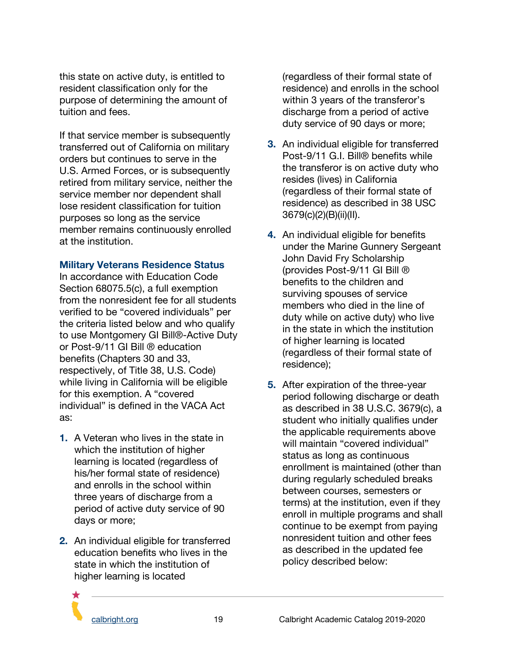this state on active duty, is entitled to resident classification only for the purpose of determining the amount of tuition and fees.

If that service member is subsequently transferred out of California on military orders but continues to serve in the U.S. Armed Forces, or is subsequently retired from military service, neither the service member nor dependent shall lose resident classification for tuition purposes so long as the service member remains continuously enrolled at the institution.

#### <span id="page-19-0"></span>**Military Veterans Residence Status**

In accordance with Education Code Section 68075.5(c), a full exemption from the nonresident fee for all students verified to be "covered individuals" per the criteria listed below and who qualify to use Montgomery GI Bill®-Active Duty or Post-9/11 GI Bill ® education benefits (Chapters 30 and 33, respectively, of Title 38, U.S. Code) while living in California will be eligible for this exemption. A "covered individual" is defined in the VACA Act as:

- **1.** A Veteran who lives in the state in which the institution of higher learning is located (regardless of his/her formal state of residence) and enrolls in the school within three years of discharge from a period of active duty service of 90 days or more;
- **2.** An individual eligible for transferred education benefits who lives in the state in which the institution of higher learning is located

(regardless of their formal state of residence) and enrolls in the school within 3 years of the transferor's discharge from a period of active duty service of 90 days or more;

- **3.** An individual eligible for transferred Post-9/11 G.I. Bill® benefits while the transferor is on active duty who resides (lives) in California (regardless of their formal state of residence) as described in 38 USC 3679(c)(2)(B)(ii)(II).
- **4.** An individual eligible for benefits under the Marine Gunnery Sergeant John David Fry Scholarship (provides Post-9/11 GI Bill ® benefits to the children and surviving spouses of service members who died in the line of duty while on active duty) who live in the state in which the institution of higher learning is located (regardless of their formal state of residence);
- **5.** After expiration of the three-year period following discharge or death as described in 38 U.S.C. 3679(c), a student who initially qualifies under the applicable requirements above will maintain "covered individual" status as long as continuous enrollment is maintained (other than during regularly scheduled breaks between courses, semesters or terms) at the institution, even if they enroll in multiple programs and shall continue to be exempt from paying nonresident tuition and other fees as described in the updated fee policy described below:

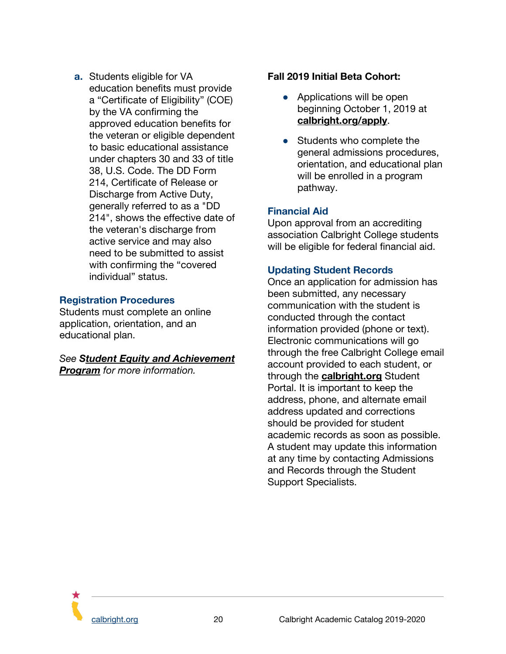**a.** Students eligible for VA education benefits must provide a "Certificate of Eligibility" (COE) by the VA confirming the approved education benefits for the veteran or eligible dependent to basic educational assistance under chapters 30 and 33 of title 38, U.S. Code. The DD Form 214, Certificate of Release or Discharge from Active Duty, generally referred to as a "DD 214", shows the effective date of the veteran's discharge from active service and may also need to be submitted to assist with confirming the "covered individual" status.

#### <span id="page-20-0"></span>**Registration Procedures**

Students must complete an online application, orientation, and an educational plan.

*See Student Equity and Achievement Program for more information.*

#### **Fall 2019 Initial Beta Cohort:**

- Applications will be open beginning October 1, 2019 at **[calbright.org/apply](http://www.calbright.org/apply)**.
- Students who complete the general admissions procedures, orientation, and educational plan will be enrolled in a program pathway.

#### <span id="page-20-1"></span>**Financial Aid**

Upon approval from an accrediting association Calbright College students will be eligible for federal financial aid.

#### <span id="page-20-2"></span>**Updating Student Records**

Once an application for admission has been submitted, any necessary communication with the student is conducted through the contact information provided (phone or text). Electronic communications will go through the free Calbright College email account provided to each student, or through the **[calbright.org](http://www.calbright.org/)** [S](http://www.calbright.org/)tudent Portal. It is important to keep the address, phone, and alternate email address updated and corrections should be provided for student academic records as soon as possible. A student may update this information at any time by contacting Admissions and Records through the Student Support Specialists.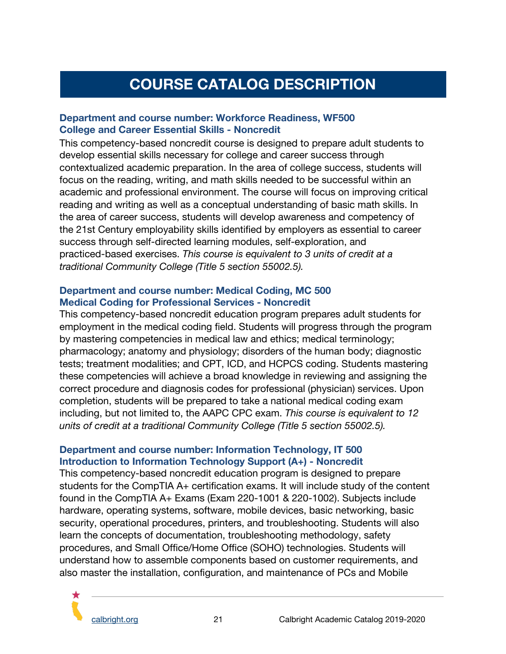# **COURSE CATALOG DESCRIPTION**

#### <span id="page-21-0"></span>**Department and course number: Workforce Readiness, WF500 College and Career Essential Skills - Noncredit**

This competency-based noncredit course is designed to prepare adult students to develop essential skills necessary for college and career success through contextualized academic preparation. In the area of college success, students will focus on the reading, writing, and math skills needed to be successful within an academic and professional environment. The course will focus on improving critical reading and writing as well as a conceptual understanding of basic math skills. In the area of career success, students will develop awareness and competency of the 21st Century employability skills identified by employers as essential to career success through self-directed learning modules, self-exploration, and practiced-based exercises. *This course is equivalent to 3 units of credit at a traditional Community College (Title 5 section 55002.5).*

#### **Department and course number: Medical Coding, MC 500 Medical Coding for Professional Services - Noncredit**

This competency-based noncredit education program prepares adult students for employment in the medical coding field. Students will progress through the program by mastering competencies in medical law and ethics; medical terminology; pharmacology; anatomy and physiology; disorders of the human body; diagnostic tests; treatment modalities; and CPT, ICD, and HCPCS coding. Students mastering these competencies will achieve a broad knowledge in reviewing and assigning the correct procedure and diagnosis codes for professional (physician) services. Upon completion, students will be prepared to take a national medical coding exam including, but not limited to, the AAPC CPC exam. *This course is equivalent to 12 units of credit at a traditional Community College (Title 5 section 55002.5).*

#### **Department and course number: Information Technology, IT 500 Introduction to Information Technology Support (A+) - Noncredit**

This competency-based noncredit education program is designed to prepare students for the CompTIA A+ certification exams. It will include study of the content found in the CompTIA A+ Exams (Exam 220-1001 & 220-1002). Subjects include hardware, operating systems, software, mobile devices, basic networking, basic security, operational procedures, printers, and troubleshooting. Students will also learn the concepts of documentation, troubleshooting methodology, safety procedures, and Small Office/Home Office (SOHO) technologies. Students will understand how to assemble components based on customer requirements, and also master the installation, configuration, and maintenance of PCs and Mobile

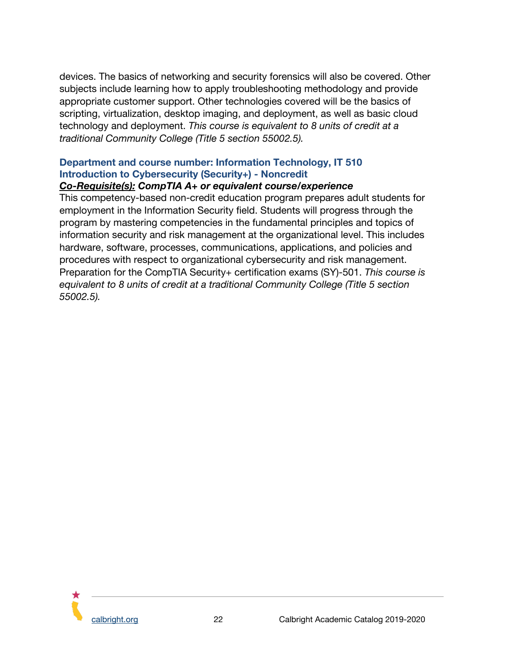devices. The basics of networking and security forensics will also be covered. Other subjects include learning how to apply troubleshooting methodology and provide appropriate customer support. Other technologies covered will be the basics of scripting, virtualization, desktop imaging, and deployment, as well as basic cloud technology and deployment. *This course is equivalent to 8 units of credit at a traditional Community College (Title 5 section 55002.5).*

# **Department and course number: Information Technology, IT 510 Introduction to Cybersecurity (Security+) - Noncredit**

#### *Co-Requisite(s): CompTIA A+ or equivalent course/experience*

This competency-based non-credit education program prepares adult students for employment in the Information Security field. Students will progress through the program by mastering competencies in the fundamental principles and topics of information security and risk management at the organizational level. This includes hardware, software, processes, communications, applications, and policies and procedures with respect to organizational cybersecurity and risk management. Preparation for the CompTIA Security+ certification exams (SY)-501. *This course is equivalent to 8 units of credit at a traditional Community College (Title 5 section 55002.5).*

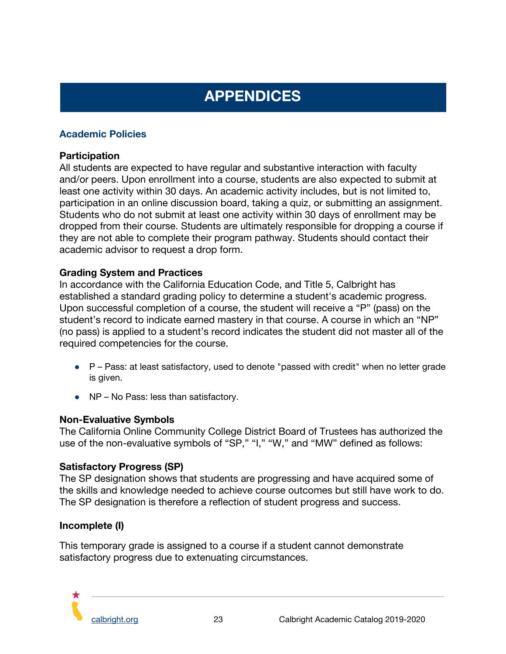# **APPENDICES**

## <span id="page-23-1"></span><span id="page-23-0"></span>**Academic Policies**

#### **Participation**

All students are expected to have regular and substantive interaction with faculty and/or peers. Upon enrollment into a course, students are also expected to submit at least one activity within 30 days. An academic activity includes, but is not limited to, participation in an online discussion board, taking a quiz, or submitting an assignment. Students who do not submit at least one activity within 30 days of enrollment may be dropped from their course. Students are ultimately responsible for dropping a course if they are not able to complete their program pathway. Students should contact their academic advisor to request a drop form.

#### **Grading System and Practices**

In accordance with the California Education Code, and Title 5, Calbright has established a standard grading policy to determine a student's academic progress. Upon successful completion of a course, the student will receive a "P" (pass) on the student's record to indicate earned mastery in that course. A course in which an "NP" (no pass) is applied to a student's record indicates the student did not master all of the required competencies for the course.

- P Pass: at least satisfactory, used to denote "passed with credit" when no letter grade is given.
- NP No Pass: less than satisfactory.

#### **Non-Evaluative Symbols**

The California Online Community College District Board of Trustees has authorized the use of the non-evaluative symbols of "SP," "I," "W," and "MW" defined as follows:

#### **Satisfactory Progress (SP)**

The SP designation shows that students are progressing and have acquired some of the skills and knowledge needed to achieve course outcomes but still have work to do. The SP designation is therefore a reflection of student progress and success.

#### **Incomplete (I)**

This temporary grade is assigned to a course if a student cannot demonstrate satisfactory progress due to extenuating circumstances.

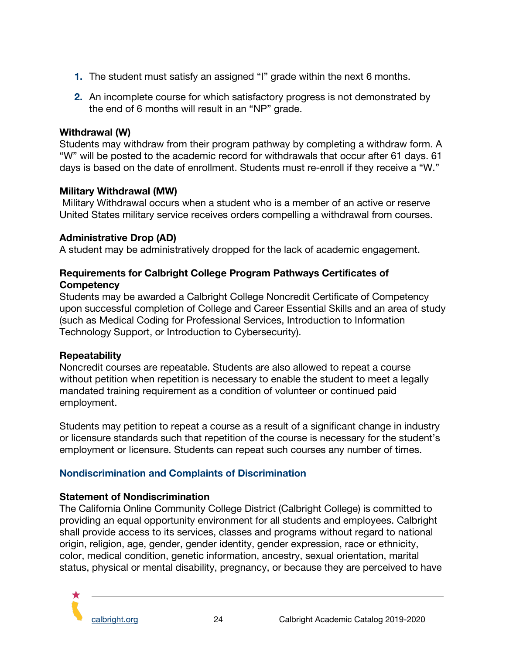- **1.** The student must satisfy an assigned "I" grade within the next 6 months.
- **2.** An incomplete course for which satisfactory progress is not demonstrated by the end of 6 months will result in an "NP" grade.

#### **Withdrawal (W)**

Students may withdraw from their program pathway by completing a withdraw form. A "W" will be posted to the academic record for withdrawals that occur after 61 days. 61 days is based on the date of enrollment. Students must re-enroll if they receive a "W."

## **Military Withdrawal (MW)**

Military Withdrawal occurs when a student who is a member of an active or reserve United States military service receives orders compelling a withdrawal from courses.

## **Administrative Drop (AD)**

A student may be administratively dropped for the lack of academic engagement.

## **Requirements for Calbright College Program Pathways Certificates of Competency**

Students may be awarded a Calbright College Noncredit Certificate of Competency upon successful completion of College and Career Essential Skills and an area of study (such as Medical Coding for Professional Services, Introduction to Information Technology Support, or Introduction to Cybersecurity).

#### **Repeatability**

Noncredit courses are repeatable. Students are also allowed to repeat a course without petition when repetition is necessary to enable the student to meet a legally mandated training requirement as a condition of volunteer or continued paid employment.

Students may petition to repeat a course as a result of a significant change in industry or licensure standards such that repetition of the course is necessary for the student's employment or licensure. Students can repeat such courses any number of times.

# <span id="page-24-0"></span>**Nondiscrimination and Complaints of Discrimination**

# **Statement of Nondiscrimination**

The California Online Community College District (Calbright College) is committed to providing an equal opportunity environment for all students and employees. Calbright shall provide access to its services, classes and programs without regard to national origin, religion, age, gender, gender identity, gender expression, race or ethnicity, color, medical condition, genetic information, ancestry, sexual orientation, marital status, physical or mental disability, pregnancy, or because they are perceived to have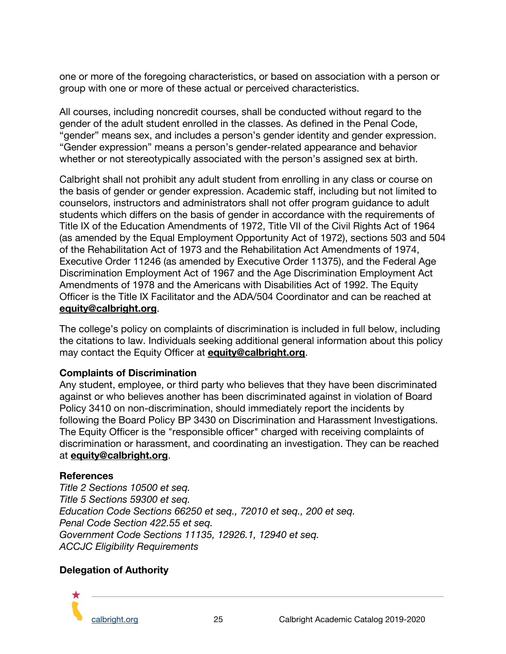one or more of the foregoing characteristics, or based on association with a person or group with one or more of these actual or perceived characteristics.

All courses, including noncredit courses, shall be conducted without regard to the gender of the adult student enrolled in the classes. As defined in the Penal Code, "gender" means sex, and includes a person's gender identity and gender expression. "Gender expression" means a person's gender-related appearance and behavior whether or not stereotypically associated with the person's assigned sex at birth.

Calbright shall not prohibit any adult student from enrolling in any class or course on the basis of gender or gender expression. Academic staff, including but not limited to counselors, instructors and administrators shall not offer program guidance to adult students which differs on the basis of gender in accordance with the requirements of Title IX of the Education Amendments of 1972, Title VII of the Civil Rights Act of 1964 (as amended by the Equal Employment Opportunity Act of 1972), sections 503 and 504 of the Rehabilitation Act of 1973 and the Rehabilitation Act Amendments of 1974, Executive Order 11246 (as amended by Executive Order 11375), and the Federal Age Discrimination Employment Act of 1967 and the Age Discrimination Employment Act Amendments of 1978 and the Americans with Disabilities Act of 1992. The Equity Officer is the Title IX Facilitator and the ADA/504 Coordinator and can be reached at **[equity@calbright.org](mailto:equity@calbright.org)**.

The college's policy on complaints of discrimination is included in full below, including the citations to law. Individuals seeking additional general information about this policy may contact the Equity Officer at **equit[y@calbright.org](mailto:hr@calbright.org)**.

#### **Complaints of Discrimination**

Any student, employee, or third party who believes that they have been discriminated against or who believes another has been discriminated against in violation of Board Policy 3410 on non-discrimination, should immediately report the incidents by following the Board Policy BP 3430 on Discrimination and Harassment Investigations. The Equity Officer is the "responsible officer" charged with receiving complaints of discrimination or harassment, and coordinating an investigation. They can be reached at **equity[@calbright.org](mailto:hr@calbright.org)**.

#### **References**

*Title 2 Sections 10500 et seq. Title 5 Sections 59300 et seq. Education Code Sections 66250 et seq., 72010 et seq., 200 et seq. Penal Code Section 422.55 et seq. Government Code Sections 11135, 12926.1, 12940 et seq. ACCJC Eligibility Requirements*

#### **Delegation of Authority**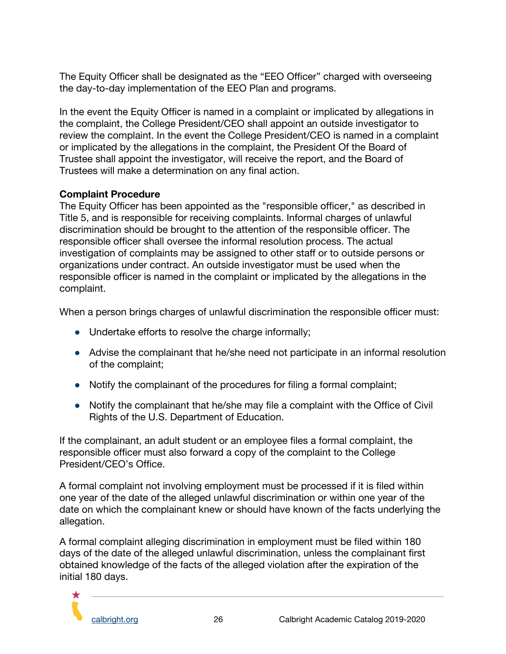The Equity Officer shall be designated as the "EEO Officer" charged with overseeing the day-to-day implementation of the EEO Plan and programs.

In the event the Equity Officer is named in a complaint or implicated by allegations in the complaint, the College President/CEO shall appoint an outside investigator to review the complaint. In the event the College President/CEO is named in a complaint or implicated by the allegations in the complaint, the President Of the Board of Trustee shall appoint the investigator, will receive the report, and the Board of Trustees will make a determination on any final action.

#### **Complaint Procedure**

The Equity Officer has been appointed as the "responsible officer," as described in Title 5, and is responsible for receiving complaints. Informal charges of unlawful discrimination should be brought to the attention of the responsible officer. The responsible officer shall oversee the informal resolution process. The actual investigation of complaints may be assigned to other staff or to outside persons or organizations under contract. An outside investigator must be used when the responsible officer is named in the complaint or implicated by the allegations in the complaint.

When a person brings charges of unlawful discrimination the responsible officer must:

- **●** Undertake efforts to resolve the charge informally;
- **●** Advise the complainant that he/she need not participate in an informal resolution of the complaint;
- **●** Notify the complainant of the procedures for filing a formal complaint;
- **●** Notify the complainant that he/she may file a complaint with the Office of Civil Rights of the U.S. Department of Education.

If the complainant, an adult student or an employee files a formal complaint, the responsible officer must also forward a copy of the complaint to the College President/CEO's Office.

A formal complaint not involving employment must be processed if it is filed within one year of the date of the alleged unlawful discrimination or within one year of the date on which the complainant knew or should have known of the facts underlying the allegation.

A formal complaint alleging discrimination in employment must be filed within 180 days of the date of the alleged unlawful discrimination, unless the complainant first obtained knowledge of the facts of the alleged violation after the expiration of the initial 180 days.

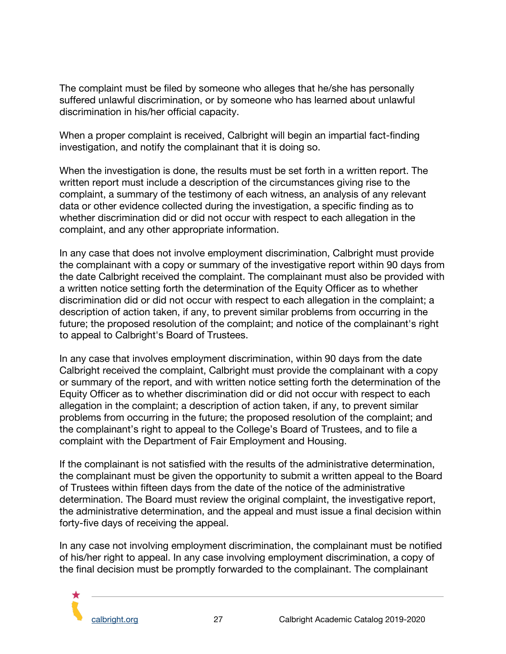The complaint must be filed by someone who alleges that he/she has personally suffered unlawful discrimination, or by someone who has learned about unlawful discrimination in his/her official capacity.

When a proper complaint is received, Calbright will begin an impartial fact-finding investigation, and notify the complainant that it is doing so.

When the investigation is done, the results must be set forth in a written report. The written report must include a description of the circumstances giving rise to the complaint, a summary of the testimony of each witness, an analysis of any relevant data or other evidence collected during the investigation, a specific finding as to whether discrimination did or did not occur with respect to each allegation in the complaint, and any other appropriate information.

In any case that does not involve employment discrimination, Calbright must provide the complainant with a copy or summary of the investigative report within 90 days from the date Calbright received the complaint. The complainant must also be provided with a written notice setting forth the determination of the Equity Officer as to whether discrimination did or did not occur with respect to each allegation in the complaint; a description of action taken, if any, to prevent similar problems from occurring in the future; the proposed resolution of the complaint; and notice of the complainant's right to appeal to Calbright's Board of Trustees.

In any case that involves employment discrimination, within 90 days from the date Calbright received the complaint, Calbright must provide the complainant with a copy or summary of the report, and with written notice setting forth the determination of the Equity Officer as to whether discrimination did or did not occur with respect to each allegation in the complaint; a description of action taken, if any, to prevent similar problems from occurring in the future; the proposed resolution of the complaint; and the complainant's right to appeal to the College's Board of Trustees, and to file a complaint with the Department of Fair Employment and Housing.

If the complainant is not satisfied with the results of the administrative determination, the complainant must be given the opportunity to submit a written appeal to the Board of Trustees within fifteen days from the date of the notice of the administrative determination. The Board must review the original complaint, the investigative report, the administrative determination, and the appeal and must issue a final decision within forty-five days of receiving the appeal.

In any case not involving employment discrimination, the complainant must be notified of his/her right to appeal. In any case involving employment discrimination, a copy of the final decision must be promptly forwarded to the complainant. The complainant

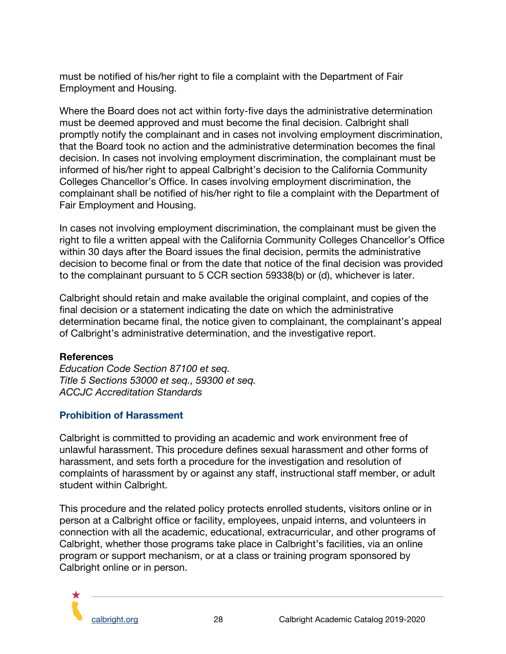must be notified of his/her right to file a complaint with the Department of Fair Employment and Housing.

Where the Board does not act within forty-five days the administrative determination must be deemed approved and must become the final decision. Calbright shall promptly notify the complainant and in cases not involving employment discrimination, that the Board took no action and the administrative determination becomes the final decision. In cases not involving employment discrimination, the complainant must be informed of his/her right to appeal Calbright's decision to the California Community Colleges Chancellor's Office. In cases involving employment discrimination, the complainant shall be notified of his/her right to file a complaint with the Department of Fair Employment and Housing.

In cases not involving employment discrimination, the complainant must be given the right to file a written appeal with the California Community Colleges Chancellor's Office within 30 days after the Board issues the final decision, permits the administrative decision to become final or from the date that notice of the final decision was provided to the complainant pursuant to 5 CCR section 59338(b) or (d), whichever is later.

Calbright should retain and make available the original complaint, and copies of the final decision or a statement indicating the date on which the administrative determination became final, the notice given to complainant, the complainant's appeal of Calbright's administrative determination, and the investigative report.

#### **References**

*Education Code Section 87100 et seq. Title 5 Sections 53000 et seq., 59300 et seq. ACCJC Accreditation Standards*

# <span id="page-28-0"></span>**Prohibition of Harassment**

Calbright is committed to providing an academic and work environment free of unlawful harassment. This procedure defines sexual harassment and other forms of harassment, and sets forth a procedure for the investigation and resolution of complaints of harassment by or against any staff, instructional staff member, or adult student within Calbright.

This procedure and the related policy protects enrolled students, visitors online or in person at a Calbright office or facility, employees, unpaid interns, and volunteers in connection with all the academic, educational, extracurricular, and other programs of Calbright, whether those programs take place in Calbright's facilities, via an online program or support mechanism, or at a class or training program sponsored by Calbright online or in person.

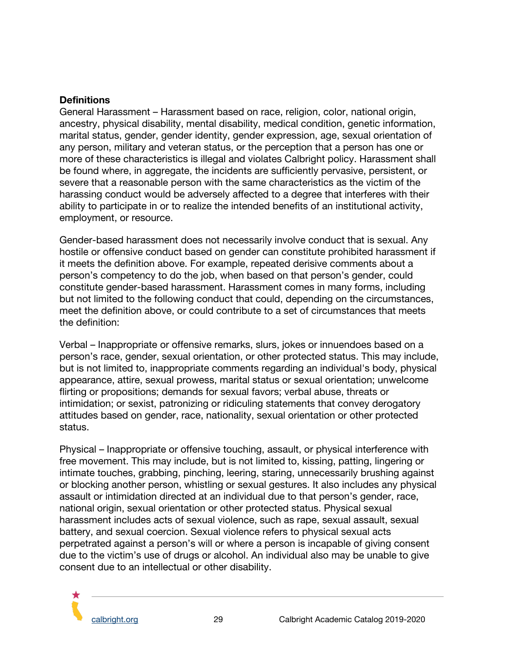#### **Definitions**

General Harassment – Harassment based on race, religion, color, national origin, ancestry, physical disability, mental disability, medical condition, genetic information, marital status, gender, gender identity, gender expression, age, sexual orientation of any person, military and veteran status, or the perception that a person has one or more of these characteristics is illegal and violates Calbright policy. Harassment shall be found where, in aggregate, the incidents are sufficiently pervasive, persistent, or severe that a reasonable person with the same characteristics as the victim of the harassing conduct would be adversely affected to a degree that interferes with their ability to participate in or to realize the intended benefits of an institutional activity, employment, or resource.

Gender-based harassment does not necessarily involve conduct that is sexual. Any hostile or offensive conduct based on gender can constitute prohibited harassment if it meets the definition above. For example, repeated derisive comments about a person's competency to do the job, when based on that person's gender, could constitute gender-based harassment. Harassment comes in many forms, including but not limited to the following conduct that could, depending on the circumstances, meet the definition above, or could contribute to a set of circumstances that meets the definition:

Verbal – Inappropriate or offensive remarks, slurs, jokes or innuendoes based on a person's race, gender, sexual orientation, or other protected status. This may include, but is not limited to, inappropriate comments regarding an individual's body, physical appearance, attire, sexual prowess, marital status or sexual orientation; unwelcome flirting or propositions; demands for sexual favors; verbal abuse, threats or intimidation; or sexist, patronizing or ridiculing statements that convey derogatory attitudes based on gender, race, nationality, sexual orientation or other protected status.

Physical – Inappropriate or offensive touching, assault, or physical interference with free movement. This may include, but is not limited to, kissing, patting, lingering or intimate touches, grabbing, pinching, leering, staring, unnecessarily brushing against or blocking another person, whistling or sexual gestures. It also includes any physical assault or intimidation directed at an individual due to that person's gender, race, national origin, sexual orientation or other protected status. Physical sexual harassment includes acts of sexual violence, such as rape, sexual assault, sexual battery, and sexual coercion. Sexual violence refers to physical sexual acts perpetrated against a person's will or where a person is incapable of giving consent due to the victim's use of drugs or alcohol. An individual also may be unable to give consent due to an intellectual or other disability.

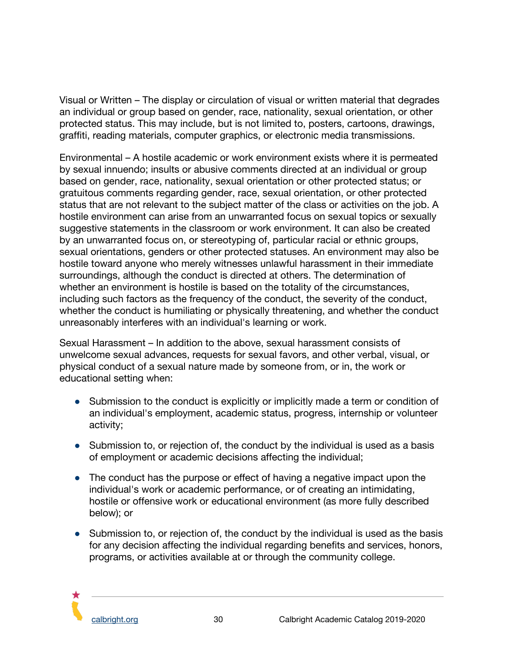Visual or Written – The display or circulation of visual or written material that degrades an individual or group based on gender, race, nationality, sexual orientation, or other protected status. This may include, but is not limited to, posters, cartoons, drawings, graffiti, reading materials, computer graphics, or electronic media transmissions.

Environmental – A hostile academic or work environment exists where it is permeated by sexual innuendo; insults or abusive comments directed at an individual or group based on gender, race, nationality, sexual orientation or other protected status; or gratuitous comments regarding gender, race, sexual orientation, or other protected status that are not relevant to the subject matter of the class or activities on the job. A hostile environment can arise from an unwarranted focus on sexual topics or sexually suggestive statements in the classroom or work environment. It can also be created by an unwarranted focus on, or stereotyping of, particular racial or ethnic groups, sexual orientations, genders or other protected statuses. An environment may also be hostile toward anyone who merely witnesses unlawful harassment in their immediate surroundings, although the conduct is directed at others. The determination of whether an environment is hostile is based on the totality of the circumstances, including such factors as the frequency of the conduct, the severity of the conduct, whether the conduct is humiliating or physically threatening, and whether the conduct unreasonably interferes with an individual's learning or work.

Sexual Harassment – In addition to the above, sexual harassment consists of unwelcome sexual advances, requests for sexual favors, and other verbal, visual, or physical conduct of a sexual nature made by someone from, or in, the work or educational setting when:

- Submission to the conduct is explicitly or implicitly made a term or condition of an individual's employment, academic status, progress, internship or volunteer activity;
- Submission to, or rejection of, the conduct by the individual is used as a basis of employment or academic decisions affecting the individual;
- The conduct has the purpose or effect of having a negative impact upon the individual's work or academic performance, or of creating an intimidating, hostile or offensive work or educational environment (as more fully described below); or
- Submission to, or rejection of, the conduct by the individual is used as the basis for any decision affecting the individual regarding benefits and services, honors, programs, or activities available at or through the community college.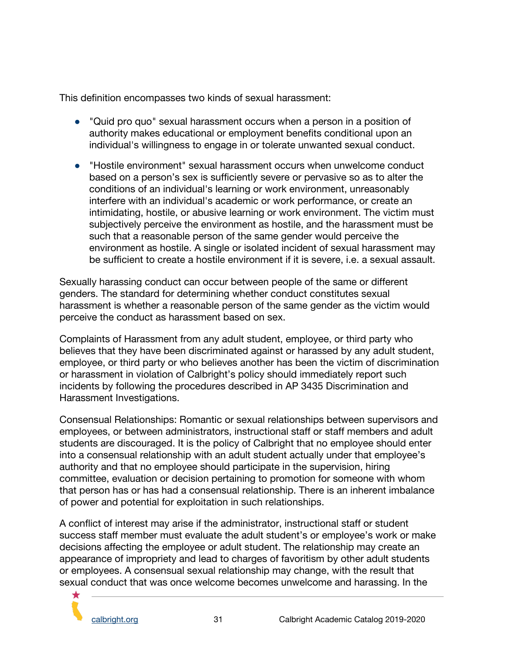This definition encompasses two kinds of sexual harassment:

- "Quid pro quo" sexual harassment occurs when a person in a position of authority makes educational or employment benefits conditional upon an individual's willingness to engage in or tolerate unwanted sexual conduct.
- "Hostile environment" sexual harassment occurs when unwelcome conduct based on a person's sex is sufficiently severe or pervasive so as to alter the conditions of an individual's learning or work environment, unreasonably interfere with an individual's academic or work performance, or create an intimidating, hostile, or abusive learning or work environment. The victim must subjectively perceive the environment as hostile, and the harassment must be such that a reasonable person of the same gender would perceive the environment as hostile. A single or isolated incident of sexual harassment may be sufficient to create a hostile environment if it is severe, i.e. a sexual assault.

Sexually harassing conduct can occur between people of the same or different genders. The standard for determining whether conduct constitutes sexual harassment is whether a reasonable person of the same gender as the victim would perceive the conduct as harassment based on sex.

Complaints of Harassment from any adult student, employee, or third party who believes that they have been discriminated against or harassed by any adult student, employee, or third party or who believes another has been the victim of discrimination or harassment in violation of Calbright's policy should immediately report such incidents by following the procedures described in AP 3435 Discrimination and Harassment Investigations.

Consensual Relationships: Romantic or sexual relationships between supervisors and employees, or between administrators, instructional staff or staff members and adult students are discouraged. It is the policy of Calbright that no employee should enter into a consensual relationship with an adult student actually under that employee's authority and that no employee should participate in the supervision, hiring committee, evaluation or decision pertaining to promotion for someone with whom that person has or has had a consensual relationship. There is an inherent imbalance of power and potential for exploitation in such relationships.

A conflict of interest may arise if the administrator, instructional staff or student success staff member must evaluate the adult student's or employee's work or make decisions affecting the employee or adult student. The relationship may create an appearance of impropriety and lead to charges of favoritism by other adult students or employees. A consensual sexual relationship may change, with the result that sexual conduct that was once welcome becomes unwelcome and harassing. In the

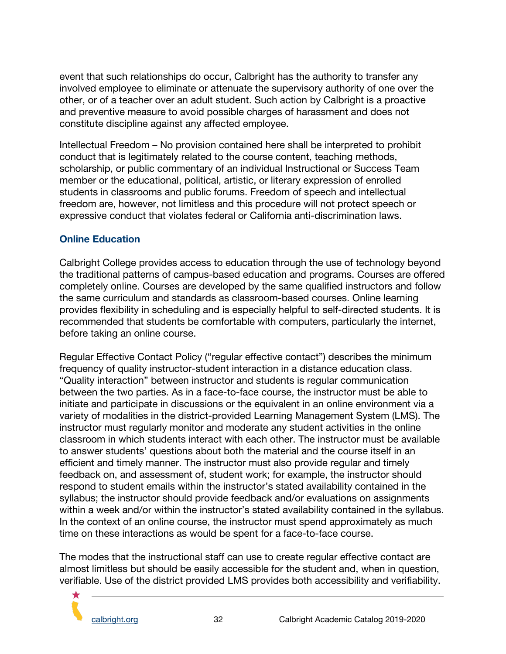event that such relationships do occur, Calbright has the authority to transfer any involved employee to eliminate or attenuate the supervisory authority of one over the other, or of a teacher over an adult student. Such action by Calbright is a proactive and preventive measure to avoid possible charges of harassment and does not constitute discipline against any affected employee.

Intellectual Freedom – No provision contained here shall be interpreted to prohibit conduct that is legitimately related to the course content, teaching methods, scholarship, or public commentary of an individual Instructional or Success Team member or the educational, political, artistic, or literary expression of enrolled students in classrooms and public forums. Freedom of speech and intellectual freedom are, however, not limitless and this procedure will not protect speech or expressive conduct that violates federal or California anti-discrimination laws.

#### <span id="page-32-0"></span>**Online Education**

Calbright College provides access to education through the use of technology beyond the traditional patterns of campus-based education and programs. Courses are offered completely online. Courses are developed by the same qualified instructors and follow the same curriculum and standards as classroom-based courses. Online learning provides flexibility in scheduling and is especially helpful to self-directed students. It is recommended that students be comfortable with computers, particularly the internet, before taking an online course.

Regular Effective Contact Policy ("regular effective contact") describes the minimum frequency of quality instructor-student interaction in a distance education class. "Quality interaction" between instructor and students is regular communication between the two parties. As in a face-to-face course, the instructor must be able to initiate and participate in discussions or the equivalent in an online environment via a variety of modalities in the district-provided Learning Management System (LMS). The instructor must regularly monitor and moderate any student activities in the online classroom in which students interact with each other. The instructor must be available to answer students' questions about both the material and the course itself in an efficient and timely manner. The instructor must also provide regular and timely feedback on, and assessment of, student work; for example, the instructor should respond to student emails within the instructor's stated availability contained in the syllabus; the instructor should provide feedback and/or evaluations on assignments within a week and/or within the instructor's stated availability contained in the syllabus. In the context of an online course, the instructor must spend approximately as much time on these interactions as would be spent for a face-to-face course.

The modes that the instructional staff can use to create regular effective contact are almost limitless but should be easily accessible for the student and, when in question, verifiable. Use of the district provided LMS provides both accessibility and verifiability.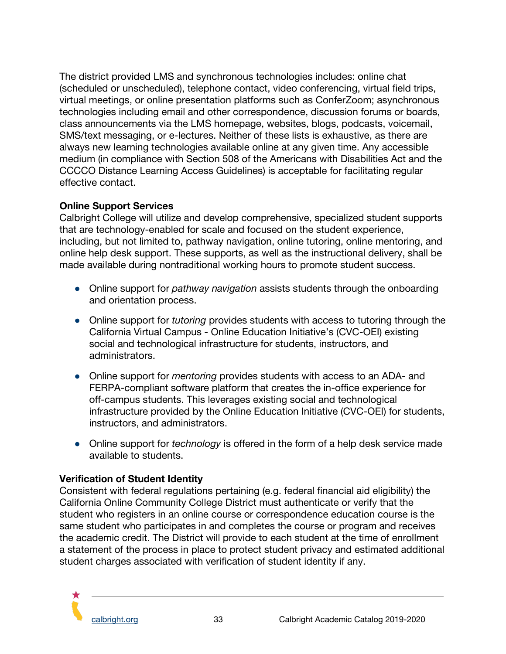The district provided LMS and synchronous technologies includes: online chat (scheduled or unscheduled), telephone contact, video conferencing, virtual field trips, virtual meetings, or online presentation platforms such as ConferZoom; asynchronous technologies including email and other correspondence, discussion forums or boards, class announcements via the LMS homepage, websites, blogs, podcasts, voicemail, SMS/text messaging, or e-lectures. Neither of these lists is exhaustive, as there are always new learning technologies available online at any given time. Any accessible medium (in compliance with Section 508 of the Americans with Disabilities Act and the CCCCO Distance Learning Access Guidelines) is acceptable for facilitating regular effective contact.

#### **Online Support Services**

Calbright College will utilize and develop comprehensive, specialized student supports that are technology-enabled for scale and focused on the student experience, including, but not limited to, pathway navigation, online tutoring, online mentoring, and online help desk support. These supports, as well as the instructional delivery, shall be made available during nontraditional working hours to promote student success.

- Online support for *pathway navigation* assists students through the onboarding and orientation process.
- Online support for *tutoring* provides students with access to tutoring through the California Virtual Campus - Online Education Initiative's (CVC-OEI) existing social and technological infrastructure for students, instructors, and administrators.
- Online support for *mentoring* provides students with access to an ADA- and FERPA-compliant software platform that creates the in-office experience for off-campus students. This leverages existing social and technological infrastructure provided by the Online Education Initiative (CVC-OEI) for students, instructors, and administrators.
- Online support for *technology* is offered in the form of a help desk service made available to students.

#### **Verification of Student Identity**

Consistent with federal regulations pertaining (e.g. federal financial aid eligibility) the California Online Community College District must authenticate or verify that the student who registers in an online course or correspondence education course is the same student who participates in and completes the course or program and receives the academic credit. The District will provide to each student at the time of enrollment a statement of the process in place to protect student privacy and estimated additional student charges associated with verification of student identity if any.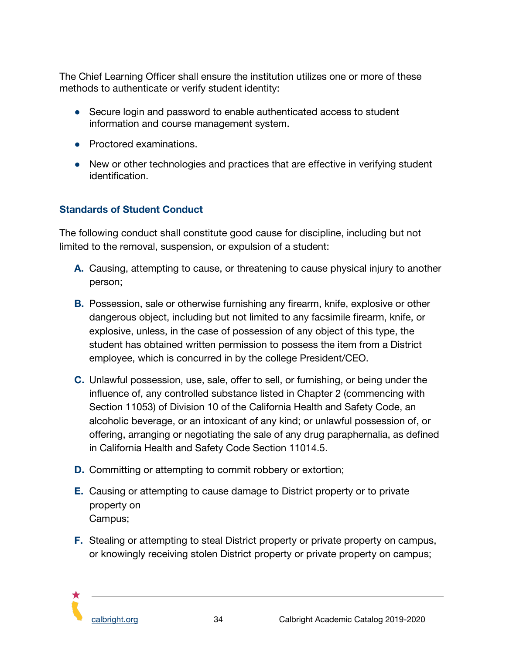The Chief Learning Officer shall ensure the institution utilizes one or more of these methods to authenticate or verify student identity:

- Secure login and password to enable authenticated access to student information and course management system.
- Proctored examinations.
- New or other technologies and practices that are effective in verifying student identification.

#### <span id="page-34-0"></span>**Standards of Student Conduct**

The following conduct shall constitute good cause for discipline, including but not limited to the removal, suspension, or expulsion of a student:

- **A.** Causing, attempting to cause, or threatening to cause physical injury to another person;
- **B.** Possession, sale or otherwise furnishing any firearm, knife, explosive or other dangerous object, including but not limited to any facsimile firearm, knife, or explosive, unless, in the case of possession of any object of this type, the student has obtained written permission to possess the item from a District employee, which is concurred in by the college President/CEO.
- **C.** Unlawful possession, use, sale, offer to sell, or furnishing, or being under the influence of, any controlled substance listed in Chapter 2 (commencing with Section 11053) of Division 10 of the California Health and Safety Code, an alcoholic beverage, or an intoxicant of any kind; or unlawful possession of, or offering, arranging or negotiating the sale of any drug paraphernalia, as defined in California Health and Safety Code Section 11014.5.
- **D.** Committing or attempting to commit robbery or extortion;
- **E.** Causing or attempting to cause damage to District property or to private property on Campus;
- **F.** Stealing or attempting to steal District property or private property on campus, or knowingly receiving stolen District property or private property on campus;

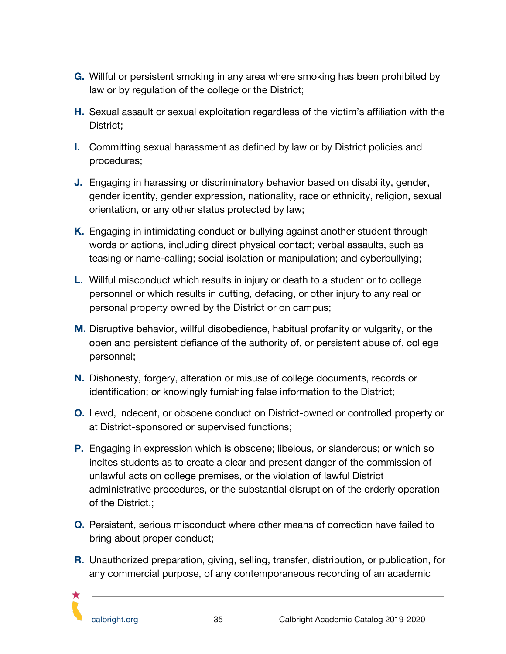- **G.** Willful or persistent smoking in any area where smoking has been prohibited by law or by regulation of the college or the District;
- **H.** Sexual assault or sexual exploitation regardless of the victim's affiliation with the District;
- **I.** Committing sexual harassment as defined by law or by District policies and procedures;
- **J.** Engaging in harassing or discriminatory behavior based on disability, gender, gender identity, gender expression, nationality, race or ethnicity, religion, sexual orientation, or any other status protected by law;
- **K.** Engaging in intimidating conduct or bullying against another student through words or actions, including direct physical contact; verbal assaults, such as teasing or name-calling; social isolation or manipulation; and cyberbullying;
- **L.** Willful misconduct which results in injury or death to a student or to college personnel or which results in cutting, defacing, or other injury to any real or personal property owned by the District or on campus;
- **M.** Disruptive behavior, willful disobedience, habitual profanity or vulgarity, or the open and persistent defiance of the authority of, or persistent abuse of, college personnel;
- **N.** Dishonesty, forgery, alteration or misuse of college documents, records or identification; or knowingly furnishing false information to the District;
- **O.** Lewd, indecent, or obscene conduct on District-owned or controlled property or at District-sponsored or supervised functions;
- **P.** Engaging in expression which is obscene; libelous, or slanderous; or which so incites students as to create a clear and present danger of the commission of unlawful acts on college premises, or the violation of lawful District administrative procedures, or the substantial disruption of the orderly operation of the District.;
- **Q.** Persistent, serious misconduct where other means of correction have failed to bring about proper conduct;
- **R.** Unauthorized preparation, giving, selling, transfer, distribution, or publication, for any commercial purpose, of any contemporaneous recording of an academic

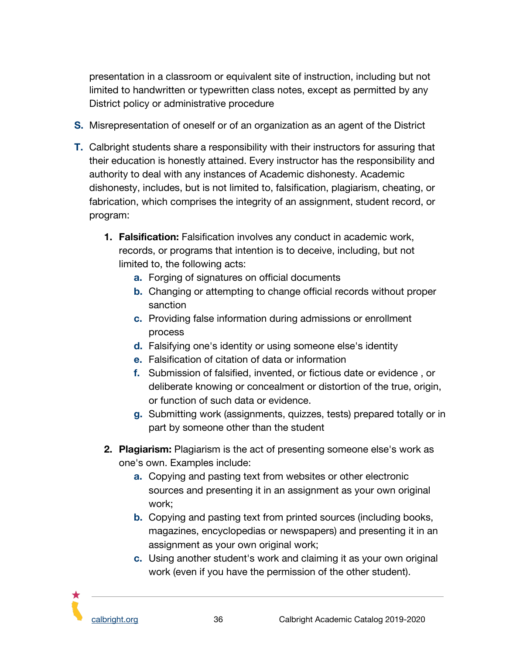presentation in a classroom or equivalent site of instruction, including but not limited to handwritten or typewritten class notes, except as permitted by any District policy or administrative procedure

- **S.** Misrepresentation of oneself or of an organization as an agent of the District
- **T.** Calbright students share a responsibility with their instructors for assuring that their education is honestly attained. Every instructor has the responsibility and authority to deal with any instances of Academic dishonesty. Academic dishonesty, includes, but is not limited to, falsification, plagiarism, cheating, or fabrication, which comprises the integrity of an assignment, student record, or program:
	- **1. Falsification:** Falsification involves any conduct in academic work, records, or programs that intention is to deceive, including, but not limited to, the following acts:
		- **a.** Forging of signatures on official documents
		- **b.** Changing or attempting to change official records without proper sanction
		- **c.** Providing false information during admissions or enrollment process
		- **d.** Falsifying one's identity or using someone else's identity
		- **e.** Falsification of citation of data or information
		- **f.** Submission of falsified, invented, or fictious date or evidence , or deliberate knowing or concealment or distortion of the true, origin, or function of such data or evidence.
		- **g.** Submitting work (assignments, quizzes, tests) prepared totally or in part by someone other than the student
	- **2. Plagiarism:** Plagiarism is the act of presenting someone else's work as one's own. Examples include:
		- **a.** Copying and pasting text from websites or other electronic sources and presenting it in an assignment as your own original work;
		- **b.** Copying and pasting text from printed sources (including books, magazines, encyclopedias or newspapers) and presenting it in an assignment as your own original work;
		- **c.** Using another student's work and claiming it as your own original work (even if you have the permission of the other student).

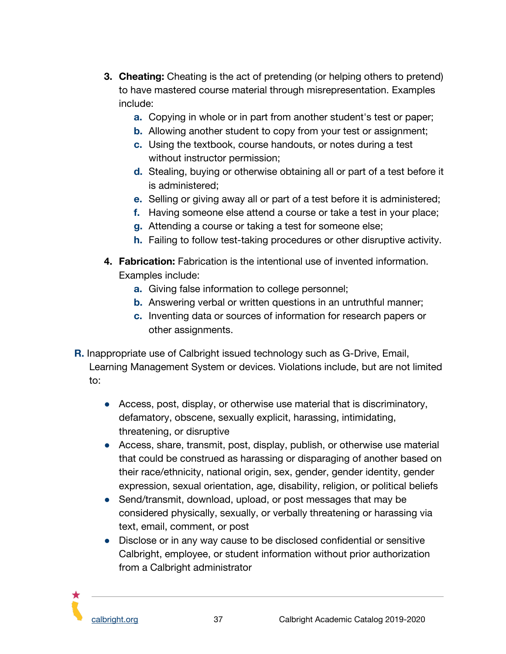- **3. Cheating:** Cheating is the act of pretending (or helping others to pretend) to have mastered course material through misrepresentation. Examples include:
	- **a.** Copying in whole or in part from another student's test or paper;
	- **b.** Allowing another student to copy from your test or assignment;
	- **c.** Using the textbook, course handouts, or notes during a test without instructor permission;
	- **d.** Stealing, buying or otherwise obtaining all or part of a test before it is administered;
	- **e.** Selling or giving away all or part of a test before it is administered;
	- **f.** Having someone else attend a course or take a test in your place;
	- **g.** Attending a course or taking a test for someone else;
	- **h.** Failing to follow test-taking procedures or other disruptive activity.
- **4. Fabrication:** Fabrication is the intentional use of invented information. Examples include:
	- **a.** Giving false information to college personnel;
	- **b.** Answering verbal or written questions in an untruthful manner;
	- **c.** Inventing data or sources of information for research papers or other assignments.
- **R.** Inappropriate use of Calbright issued technology such as G-Drive, Email, Learning Management System or devices. Violations include, but are not limited to:
	- Access, post, display, or otherwise use material that is discriminatory, defamatory, obscene, sexually explicit, harassing, intimidating, threatening, or disruptive
	- Access, share, transmit, post, display, publish, or otherwise use material that could be construed as harassing or disparaging of another based on their race/ethnicity, national origin, sex, gender, gender identity, gender expression, sexual orientation, age, disability, religion, or political beliefs
	- Send/transmit, download, upload, or post messages that may be considered physically, sexually, or verbally threatening or harassing via text, email, comment, or post
	- Disclose or in any way cause to be disclosed confidential or sensitive Calbright, employee, or student information without prior authorization from a Calbright administrator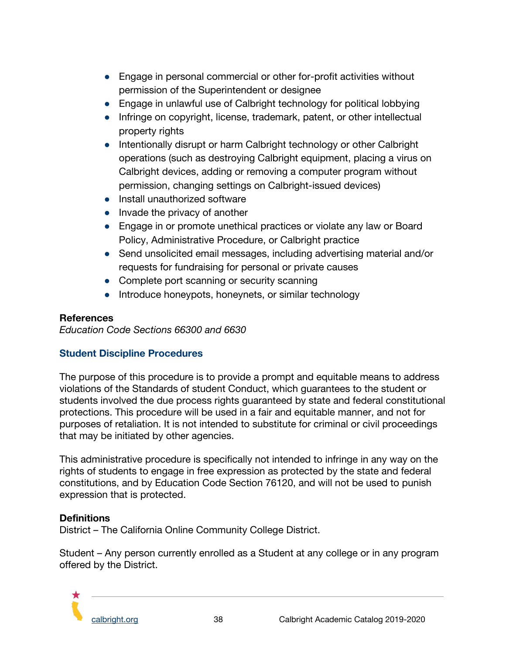- Engage in personal commercial or other for-profit activities without permission of the Superintendent or designee
- Engage in unlawful use of Calbright technology for political lobbying
- Infringe on copyright, license, trademark, patent, or other intellectual property rights
- Intentionally disrupt or harm Calbright technology or other Calbright operations (such as destroying Calbright equipment, placing a virus on Calbright devices, adding or removing a computer program without permission, changing settings on Calbright-issued devices)
- Install unauthorized software
- Invade the privacy of another
- Engage in or promote unethical practices or violate any law or Board Policy, Administrative Procedure, or Calbright practice
- Send unsolicited email messages, including advertising material and/or requests for fundraising for personal or private causes
- Complete port scanning or security scanning
- Introduce honeypots, honeynets, or similar technology

## **References**

*Education Code Sections 66300 and 6630*

# <span id="page-38-0"></span>**Student Discipline Procedures**

The purpose of this procedure is to provide a prompt and equitable means to address violations of the Standards of student Conduct, which guarantees to the student or students involved the due process rights guaranteed by state and federal constitutional protections. This procedure will be used in a fair and equitable manner, and not for purposes of retaliation. It is not intended to substitute for criminal or civil proceedings that may be initiated by other agencies.

This administrative procedure is specifically not intended to infringe in any way on the rights of students to engage in free expression as protected by the state and federal constitutions, and by Education Code Section 76120, and will not be used to punish expression that is protected.

#### **Definitions**

District – The California Online Community College District.

Student – Any person currently enrolled as a Student at any college or in any program offered by the District.

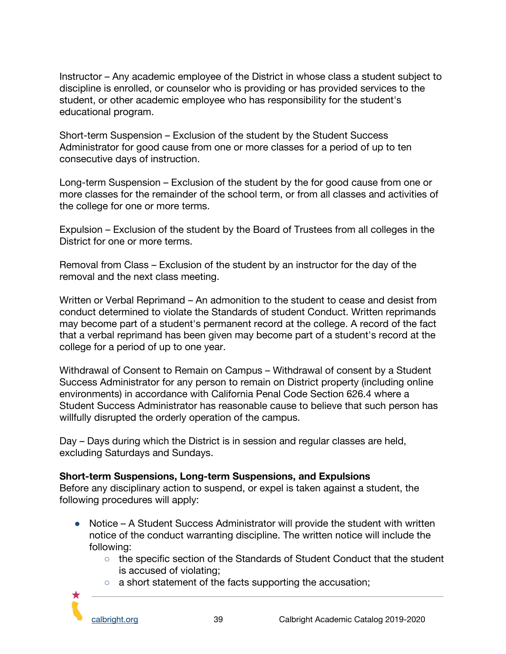Instructor – Any academic employee of the District in whose class a student subject to discipline is enrolled, or counselor who is providing or has provided services to the student, or other academic employee who has responsibility for the student's educational program.

Short-term Suspension – Exclusion of the student by the Student Success Administrator for good cause from one or more classes for a period of up to ten consecutive days of instruction.

Long-term Suspension – Exclusion of the student by the for good cause from one or more classes for the remainder of the school term, or from all classes and activities of the college for one or more terms.

Expulsion – Exclusion of the student by the Board of Trustees from all colleges in the District for one or more terms.

Removal from Class – Exclusion of the student by an instructor for the day of the removal and the next class meeting.

Written or Verbal Reprimand – An admonition to the student to cease and desist from conduct determined to violate the Standards of student Conduct. Written reprimands may become part of a student's permanent record at the college. A record of the fact that a verbal reprimand has been given may become part of a student's record at the college for a period of up to one year.

Withdrawal of Consent to Remain on Campus – Withdrawal of consent by a Student Success Administrator for any person to remain on District property (including online environments) in accordance with California Penal Code Section 626.4 where a Student Success Administrator has reasonable cause to believe that such person has willfully disrupted the orderly operation of the campus.

Day – Days during which the District is in session and regular classes are held, excluding Saturdays and Sundays.

#### **Short-term Suspensions, Long-term Suspensions, and Expulsions**

Before any disciplinary action to suspend, or expel is taken against a student, the following procedures will apply:

- Notice A Student Success Administrator will provide the student with written notice of the conduct warranting discipline. The written notice will include the following:
	- the specific section of the Standards of Student Conduct that the student is accused of violating;
	- a short statement of the facts supporting the accusation;

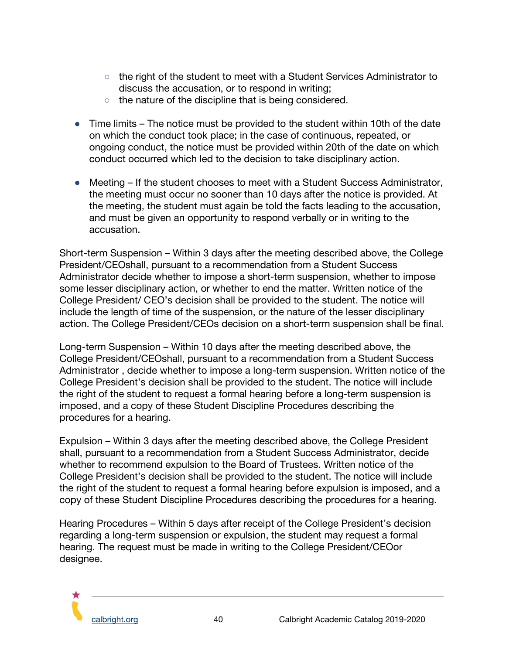- the right of the student to meet with a Student Services Administrator to discuss the accusation, or to respond in writing;
- the nature of the discipline that is being considered.
- Time limits The notice must be provided to the student within 10th of the date on which the conduct took place; in the case of continuous, repeated, or ongoing conduct, the notice must be provided within 20th of the date on which conduct occurred which led to the decision to take disciplinary action.
- Meeting If the student chooses to meet with a Student Success Administrator, the meeting must occur no sooner than 10 days after the notice is provided. At the meeting, the student must again be told the facts leading to the accusation, and must be given an opportunity to respond verbally or in writing to the accusation.

Short-term Suspension – Within 3 days after the meeting described above, the College President/CEOshall, pursuant to a recommendation from a Student Success Administrator decide whether to impose a short-term suspension, whether to impose some lesser disciplinary action, or whether to end the matter. Written notice of the College President/ CEO's decision shall be provided to the student. The notice will include the length of time of the suspension, or the nature of the lesser disciplinary action. The College President/CEOs decision on a short-term suspension shall be final.

Long-term Suspension – Within 10 days after the meeting described above, the College President/CEOshall, pursuant to a recommendation from a Student Success Administrator , decide whether to impose a long-term suspension. Written notice of the College President's decision shall be provided to the student. The notice will include the right of the student to request a formal hearing before a long-term suspension is imposed, and a copy of these Student Discipline Procedures describing the procedures for a hearing.

Expulsion – Within 3 days after the meeting described above, the College President shall, pursuant to a recommendation from a Student Success Administrator, decide whether to recommend expulsion to the Board of Trustees. Written notice of the College President's decision shall be provided to the student. The notice will include the right of the student to request a formal hearing before expulsion is imposed, and a copy of these Student Discipline Procedures describing the procedures for a hearing.

Hearing Procedures – Within 5 days after receipt of the College President's decision regarding a long-term suspension or expulsion, the student may request a formal hearing. The request must be made in writing to the College President/CEOor designee.

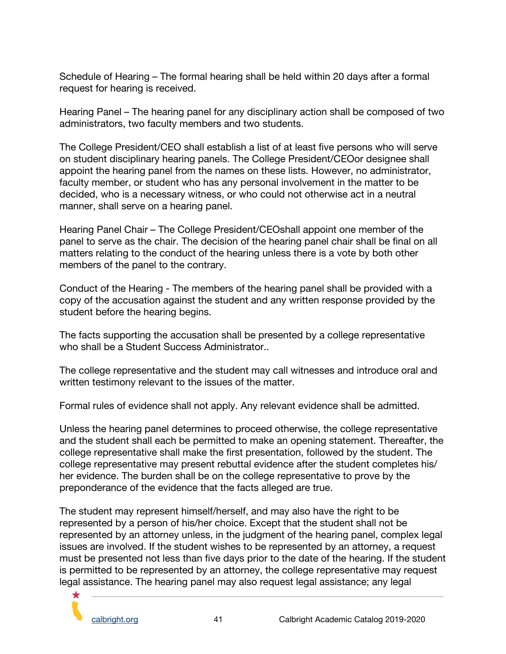Schedule of Hearing – The formal hearing shall be held within 20 days after a formal request for hearing is received.

Hearing Panel – The hearing panel for any disciplinary action shall be composed of two administrators, two faculty members and two students.

The College President/CEO shall establish a list of at least five persons who will serve on student disciplinary hearing panels. The College President/CEOor designee shall appoint the hearing panel from the names on these lists. However, no administrator, faculty member, or student who has any personal involvement in the matter to be decided, who is a necessary witness, or who could not otherwise act in a neutral manner, shall serve on a hearing panel.

Hearing Panel Chair – The College President/CEOshall appoint one member of the panel to serve as the chair. The decision of the hearing panel chair shall be final on all matters relating to the conduct of the hearing unless there is a vote by both other members of the panel to the contrary.

Conduct of the Hearing - The members of the hearing panel shall be provided with a copy of the accusation against the student and any written response provided by the student before the hearing begins.

The facts supporting the accusation shall be presented by a college representative who shall be a Student Success Administrator...

The college representative and the student may call witnesses and introduce oral and written testimony relevant to the issues of the matter.

Formal rules of evidence shall not apply. Any relevant evidence shall be admitted.

Unless the hearing panel determines to proceed otherwise, the college representative and the student shall each be permitted to make an opening statement. Thereafter, the college representative shall make the first presentation, followed by the student. The college representative may present rebuttal evidence after the student completes his/ her evidence. The burden shall be on the college representative to prove by the preponderance of the evidence that the facts alleged are true.

The student may represent himself/herself, and may also have the right to be represented by a person of his/her choice. Except that the student shall not be represented by an attorney unless, in the judgment of the hearing panel, complex legal issues are involved. If the student wishes to be represented by an attorney, a request must be presented not less than five days prior to the date of the hearing. If the student is permitted to be represented by an attorney, the college representative may request legal assistance. The hearing panel may also request legal assistance; any legal

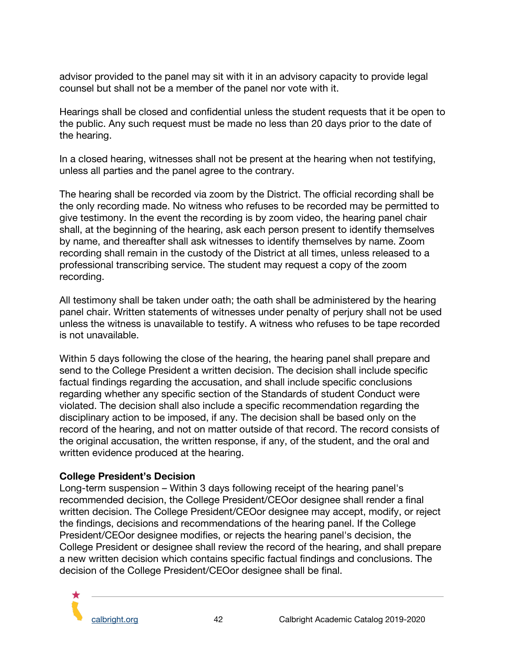advisor provided to the panel may sit with it in an advisory capacity to provide legal counsel but shall not be a member of the panel nor vote with it.

Hearings shall be closed and confidential unless the student requests that it be open to the public. Any such request must be made no less than 20 days prior to the date of the hearing.

In a closed hearing, witnesses shall not be present at the hearing when not testifying, unless all parties and the panel agree to the contrary.

The hearing shall be recorded via zoom by the District. The official recording shall be the only recording made. No witness who refuses to be recorded may be permitted to give testimony. In the event the recording is by zoom video, the hearing panel chair shall, at the beginning of the hearing, ask each person present to identify themselves by name, and thereafter shall ask witnesses to identify themselves by name. Zoom recording shall remain in the custody of the District at all times, unless released to a professional transcribing service. The student may request a copy of the zoom recording.

All testimony shall be taken under oath; the oath shall be administered by the hearing panel chair. Written statements of witnesses under penalty of perjury shall not be used unless the witness is unavailable to testify. A witness who refuses to be tape recorded is not unavailable.

Within 5 days following the close of the hearing, the hearing panel shall prepare and send to the College President a written decision. The decision shall include specific factual findings regarding the accusation, and shall include specific conclusions regarding whether any specific section of the Standards of student Conduct were violated. The decision shall also include a specific recommendation regarding the disciplinary action to be imposed, if any. The decision shall be based only on the record of the hearing, and not on matter outside of that record. The record consists of the original accusation, the written response, if any, of the student, and the oral and written evidence produced at the hearing.

#### **College President's Decision**

Long-term suspension – Within 3 days following receipt of the hearing panel's recommended decision, the College President/CEOor designee shall render a final written decision. The College President/CEOor designee may accept, modify, or reject the findings, decisions and recommendations of the hearing panel. If the College President/CEOor designee modifies, or rejects the hearing panel's decision, the College President or designee shall review the record of the hearing, and shall prepare a new written decision which contains specific factual findings and conclusions. The decision of the College President/CEOor designee shall be final.

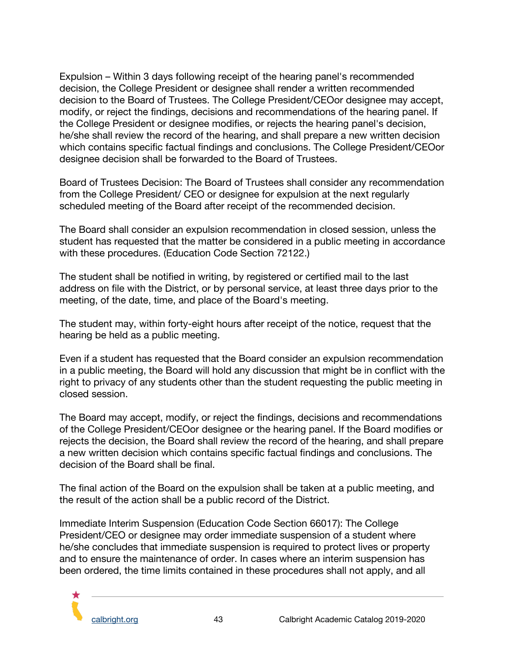Expulsion – Within 3 days following receipt of the hearing panel's recommended decision, the College President or designee shall render a written recommended decision to the Board of Trustees. The College President/CEOor designee may accept, modify, or reject the findings, decisions and recommendations of the hearing panel. If the College President or designee modifies, or rejects the hearing panel's decision, he/she shall review the record of the hearing, and shall prepare a new written decision which contains specific factual findings and conclusions. The College President/CEOor designee decision shall be forwarded to the Board of Trustees.

Board of Trustees Decision: The Board of Trustees shall consider any recommendation from the College President/ CEO or designee for expulsion at the next regularly scheduled meeting of the Board after receipt of the recommended decision.

The Board shall consider an expulsion recommendation in closed session, unless the student has requested that the matter be considered in a public meeting in accordance with these procedures. (Education Code Section 72122.)

The student shall be notified in writing, by registered or certified mail to the last address on file with the District, or by personal service, at least three days prior to the meeting, of the date, time, and place of the Board's meeting.

The student may, within forty-eight hours after receipt of the notice, request that the hearing be held as a public meeting.

Even if a student has requested that the Board consider an expulsion recommendation in a public meeting, the Board will hold any discussion that might be in conflict with the right to privacy of any students other than the student requesting the public meeting in closed session.

The Board may accept, modify, or reject the findings, decisions and recommendations of the College President/CEOor designee or the hearing panel. If the Board modifies or rejects the decision, the Board shall review the record of the hearing, and shall prepare a new written decision which contains specific factual findings and conclusions. The decision of the Board shall be final.

The final action of the Board on the expulsion shall be taken at a public meeting, and the result of the action shall be a public record of the District.

Immediate Interim Suspension (Education Code Section 66017): The College President/CEO or designee may order immediate suspension of a student where he/she concludes that immediate suspension is required to protect lives or property and to ensure the maintenance of order. In cases where an interim suspension has been ordered, the time limits contained in these procedures shall not apply, and all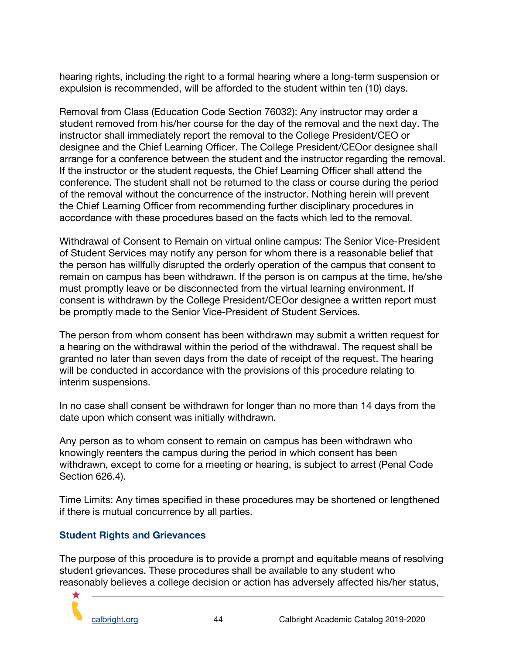hearing rights, including the right to a formal hearing where a long-term suspension or expulsion is recommended, will be afforded to the student within ten (10) days.

Removal from Class (Education Code Section 76032): Any instructor may order a student removed from his/her course for the day of the removal and the next day. The instructor shall immediately report the removal to the College President/CEO or designee and the Chief Learning Officer. The College President/CEOor designee shall arrange for a conference between the student and the instructor regarding the removal. If the instructor or the student requests, the Chief Learning Officer shall attend the conference. The student shall not be returned to the class or course during the period of the removal without the concurrence of the instructor. Nothing herein will prevent the Chief Learning Officer from recommending further disciplinary procedures in accordance with these procedures based on the facts which led to the removal.

Withdrawal of Consent to Remain on virtual online campus: The Senior Vice-President of Student Services may notify any person for whom there is a reasonable belief that the person has willfully disrupted the orderly operation of the campus that consent to remain on campus has been withdrawn. If the person is on campus at the time, he/she must promptly leave or be disconnected from the virtual learning environment. If consent is withdrawn by the College President/CEOor designee a written report must be promptly made to the Senior Vice-President of Student Services.

The person from whom consent has been withdrawn may submit a written request for a hearing on the withdrawal within the period of the withdrawal. The request shall be granted no later than seven days from the date of receipt of the request. The hearing will be conducted in accordance with the provisions of this procedure relating to interim suspensions.

In no case shall consent be withdrawn for longer than no more than 14 days from the date upon which consent was initially withdrawn.

Any person as to whom consent to remain on campus has been withdrawn who knowingly reenters the campus during the period in which consent has been withdrawn, except to come for a meeting or hearing, is subject to arrest (Penal Code Section 626.4).

Time Limits: Any times specified in these procedures may be shortened or lengthened if there is mutual concurrence by all parties.

#### <span id="page-44-0"></span>**Student Rights and Grievances**

The purpose of this procedure is to provide a prompt and equitable means of resolving student grievances. These procedures shall be available to any student who reasonably believes a college decision or action has adversely affected his/her status,

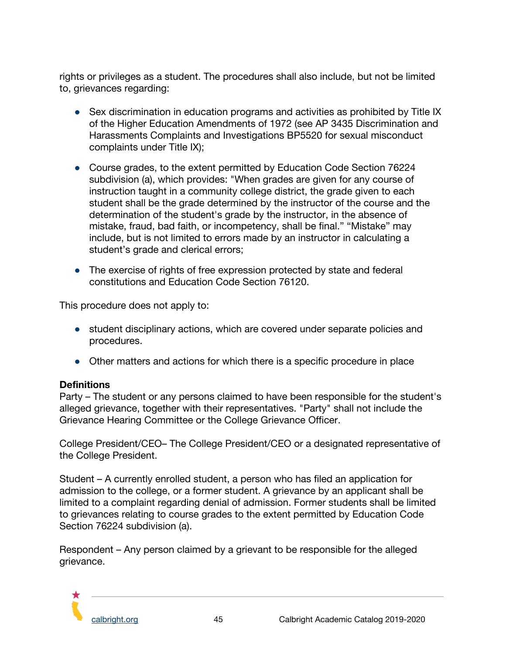rights or privileges as a student. The procedures shall also include, but not be limited to, grievances regarding:

- Sex discrimination in education programs and activities as prohibited by Title IX of the Higher Education Amendments of 1972 (see AP 3435 Discrimination and Harassments Complaints and Investigations BP5520 for sexual misconduct complaints under Title IX);
- Course grades, to the extent permitted by Education Code Section 76224 subdivision (a), which provides: "When grades are given for any course of instruction taught in a community college district, the grade given to each student shall be the grade determined by the instructor of the course and the determination of the student's grade by the instructor, in the absence of mistake, fraud, bad faith, or incompetency, shall be final." "Mistake" may include, but is not limited to errors made by an instructor in calculating a student's grade and clerical errors;
- The exercise of rights of free expression protected by state and federal constitutions and Education Code Section 76120.

This procedure does not apply to:

- student disciplinary actions, which are covered under separate policies and procedures.
- Other matters and actions for which there is a specific procedure in place

#### **Definitions**

Party – The student or any persons claimed to have been responsible for the student's alleged grievance, together with their representatives. "Party" shall not include the Grievance Hearing Committee or the College Grievance Officer.

College President/CEO– The College President/CEO or a designated representative of the College President.

Student – A currently enrolled student, a person who has filed an application for admission to the college, or a former student. A grievance by an applicant shall be limited to a complaint regarding denial of admission. Former students shall be limited to grievances relating to course grades to the extent permitted by Education Code Section 76224 subdivision (a).

Respondent – Any person claimed by a grievant to be responsible for the alleged grievance.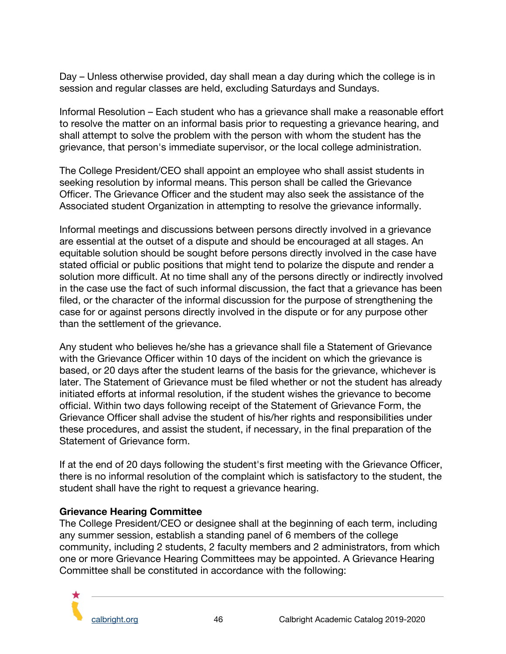Day – Unless otherwise provided, day shall mean a day during which the college is in session and regular classes are held, excluding Saturdays and Sundays.

Informal Resolution – Each student who has a grievance shall make a reasonable effort to resolve the matter on an informal basis prior to requesting a grievance hearing, and shall attempt to solve the problem with the person with whom the student has the grievance, that person's immediate supervisor, or the local college administration.

The College President/CEO shall appoint an employee who shall assist students in seeking resolution by informal means. This person shall be called the Grievance Officer. The Grievance Officer and the student may also seek the assistance of the Associated student Organization in attempting to resolve the grievance informally.

Informal meetings and discussions between persons directly involved in a grievance are essential at the outset of a dispute and should be encouraged at all stages. An equitable solution should be sought before persons directly involved in the case have stated official or public positions that might tend to polarize the dispute and render a solution more difficult. At no time shall any of the persons directly or indirectly involved in the case use the fact of such informal discussion, the fact that a grievance has been filed, or the character of the informal discussion for the purpose of strengthening the case for or against persons directly involved in the dispute or for any purpose other than the settlement of the grievance.

Any student who believes he/she has a grievance shall file a Statement of Grievance with the Grievance Officer within 10 days of the incident on which the grievance is based, or 20 days after the student learns of the basis for the grievance, whichever is later. The Statement of Grievance must be filed whether or not the student has already initiated efforts at informal resolution, if the student wishes the grievance to become official. Within two days following receipt of the Statement of Grievance Form, the Grievance Officer shall advise the student of his/her rights and responsibilities under these procedures, and assist the student, if necessary, in the final preparation of the Statement of Grievance form.

If at the end of 20 days following the student's first meeting with the Grievance Officer, there is no informal resolution of the complaint which is satisfactory to the student, the student shall have the right to request a grievance hearing.

#### **Grievance Hearing Committee**

The College President/CEO or designee shall at the beginning of each term, including any summer session, establish a standing panel of 6 members of the college community, including 2 students, 2 faculty members and 2 administrators, from which one or more Grievance Hearing Committees may be appointed. A Grievance Hearing Committee shall be constituted in accordance with the following: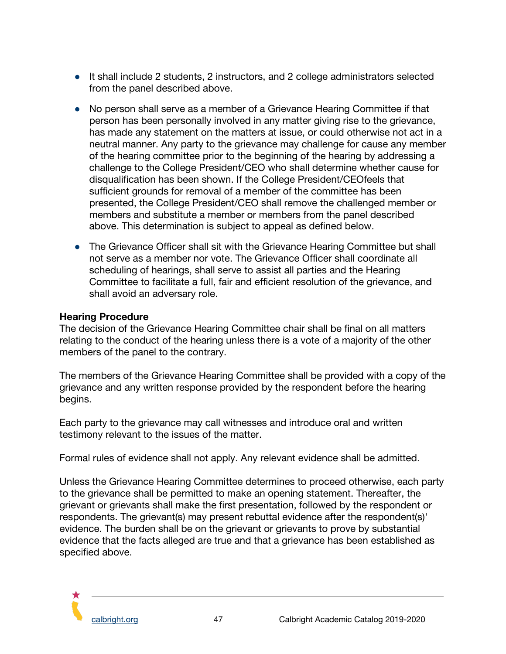- It shall include 2 students, 2 instructors, and 2 college administrators selected from the panel described above.
- No person shall serve as a member of a Grievance Hearing Committee if that person has been personally involved in any matter giving rise to the grievance, has made any statement on the matters at issue, or could otherwise not act in a neutral manner. Any party to the grievance may challenge for cause any member of the hearing committee prior to the beginning of the hearing by addressing a challenge to the College President/CEO who shall determine whether cause for disqualification has been shown. If the College President/CEOfeels that sufficient grounds for removal of a member of the committee has been presented, the College President/CEO shall remove the challenged member or members and substitute a member or members from the panel described above. This determination is subject to appeal as defined below.
- The Grievance Officer shall sit with the Grievance Hearing Committee but shall not serve as a member nor vote. The Grievance Officer shall coordinate all scheduling of hearings, shall serve to assist all parties and the Hearing Committee to facilitate a full, fair and efficient resolution of the grievance, and shall avoid an adversary role.

#### **Hearing Procedure**

The decision of the Grievance Hearing Committee chair shall be final on all matters relating to the conduct of the hearing unless there is a vote of a majority of the other members of the panel to the contrary.

The members of the Grievance Hearing Committee shall be provided with a copy of the grievance and any written response provided by the respondent before the hearing begins.

Each party to the grievance may call witnesses and introduce oral and written testimony relevant to the issues of the matter.

Formal rules of evidence shall not apply. Any relevant evidence shall be admitted.

Unless the Grievance Hearing Committee determines to proceed otherwise, each party to the grievance shall be permitted to make an opening statement. Thereafter, the grievant or grievants shall make the first presentation, followed by the respondent or respondents. The grievant(s) may present rebuttal evidence after the respondent(s)' evidence. The burden shall be on the grievant or grievants to prove by substantial evidence that the facts alleged are true and that a grievance has been established as specified above.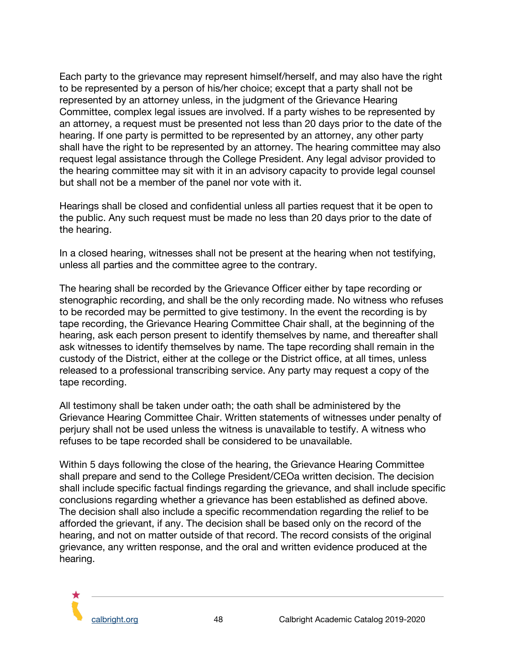Each party to the grievance may represent himself/herself, and may also have the right to be represented by a person of his/her choice; except that a party shall not be represented by an attorney unless, in the judgment of the Grievance Hearing Committee, complex legal issues are involved. If a party wishes to be represented by an attorney, a request must be presented not less than 20 days prior to the date of the hearing. If one party is permitted to be represented by an attorney, any other party shall have the right to be represented by an attorney. The hearing committee may also request legal assistance through the College President. Any legal advisor provided to the hearing committee may sit with it in an advisory capacity to provide legal counsel but shall not be a member of the panel nor vote with it.

Hearings shall be closed and confidential unless all parties request that it be open to the public. Any such request must be made no less than 20 days prior to the date of the hearing.

In a closed hearing, witnesses shall not be present at the hearing when not testifying, unless all parties and the committee agree to the contrary.

The hearing shall be recorded by the Grievance Officer either by tape recording or stenographic recording, and shall be the only recording made. No witness who refuses to be recorded may be permitted to give testimony. In the event the recording is by tape recording, the Grievance Hearing Committee Chair shall, at the beginning of the hearing, ask each person present to identify themselves by name, and thereafter shall ask witnesses to identify themselves by name. The tape recording shall remain in the custody of the District, either at the college or the District office, at all times, unless released to a professional transcribing service. Any party may request a copy of the tape recording.

All testimony shall be taken under oath; the oath shall be administered by the Grievance Hearing Committee Chair. Written statements of witnesses under penalty of perjury shall not be used unless the witness is unavailable to testify. A witness who refuses to be tape recorded shall be considered to be unavailable.

Within 5 days following the close of the hearing, the Grievance Hearing Committee shall prepare and send to the College President/CEOa written decision. The decision shall include specific factual findings regarding the grievance, and shall include specific conclusions regarding whether a grievance has been established as defined above. The decision shall also include a specific recommendation regarding the relief to be afforded the grievant, if any. The decision shall be based only on the record of the hearing, and not on matter outside of that record. The record consists of the original grievance, any written response, and the oral and written evidence produced at the hearing.

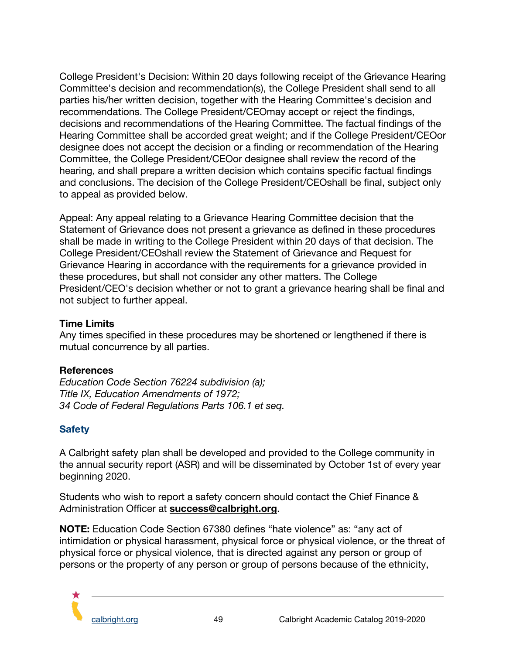College President's Decision: Within 20 days following receipt of the Grievance Hearing Committee's decision and recommendation(s), the College President shall send to all parties his/her written decision, together with the Hearing Committee's decision and recommendations. The College President/CEOmay accept or reject the findings, decisions and recommendations of the Hearing Committee. The factual findings of the Hearing Committee shall be accorded great weight; and if the College President/CEOor designee does not accept the decision or a finding or recommendation of the Hearing Committee, the College President/CEOor designee shall review the record of the hearing, and shall prepare a written decision which contains specific factual findings and conclusions. The decision of the College President/CEOshall be final, subject only to appeal as provided below.

Appeal: Any appeal relating to a Grievance Hearing Committee decision that the Statement of Grievance does not present a grievance as defined in these procedures shall be made in writing to the College President within 20 days of that decision. The College President/CEOshall review the Statement of Grievance and Request for Grievance Hearing in accordance with the requirements for a grievance provided in these procedures, but shall not consider any other matters. The College President/CEO's decision whether or not to grant a grievance hearing shall be final and not subject to further appeal.

#### **Time Limits**

Any times specified in these procedures may be shortened or lengthened if there is mutual concurrence by all parties.

#### **References**

*Education Code Section 76224 subdivision (a); Title IX, Education Amendments of 1972; 34 Code of Federal Regulations Parts 106.1 et seq.*

#### <span id="page-49-0"></span>**Safety**

A Calbright safety plan shall be developed and provided to the College community in the annual security report (ASR) and will be disseminated by October 1st of every year beginning 2020.

Students who wish to report a safety concern should contact the Chief Finance & Administration Officer at **[success@calbright.org](mailto:success@calbright.org)**.

**NOTE:** Education Code Section 67380 defines "hate violence" as: "any act of intimidation or physical harassment, physical force or physical violence, or the threat of physical force or physical violence, that is directed against any person or group of persons or the property of any person or group of persons because of the ethnicity,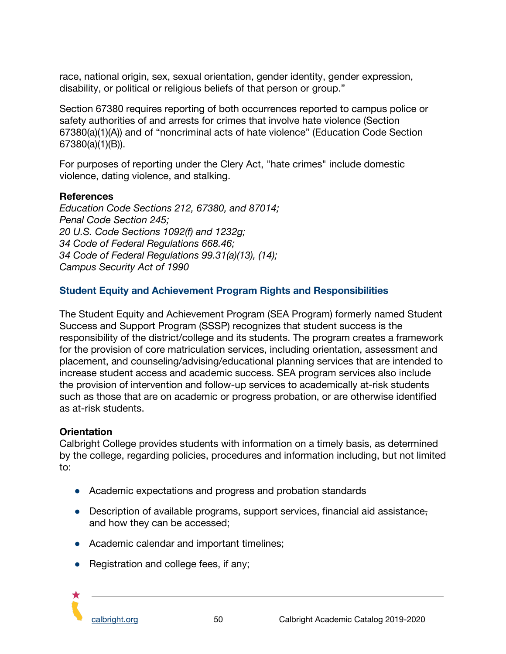race, national origin, sex, sexual orientation, gender identity, gender expression, disability, or political or religious beliefs of that person or group."

Section 67380 requires reporting of both occurrences reported to campus police or safety authorities of and arrests for crimes that involve hate violence (Section 67380(a)(1)(A)) and of "noncriminal acts of hate violence" (Education Code Section 67380(a)(1)(B)).

For purposes of reporting under the Clery Act, "hate crimes" include domestic violence, dating violence, and stalking.

#### **References**

*Education Code Sections 212, 67380, and 87014; Penal Code Section 245; 20 U.S. Code Sections 1092(f) and 1232g; 34 Code of Federal Regulations 668.46; 34 Code of Federal Regulations 99.31(a)(13), (14); Campus Security Act of 1990*

#### <span id="page-50-0"></span>**Student Equity and Achievement Program Rights and Responsibilities**

The Student Equity and Achievement Program (SEA Program) formerly named Student Success and Support Program (SSSP) recognizes that student success is the responsibility of the district/college and its students. The program creates a framework for the provision of core matriculation services, including orientation, assessment and placement, and counseling/advising/educational planning services that are intended to increase student access and academic success. SEA program services also include the provision of intervention and follow-up services to academically at-risk students such as those that are on academic or progress probation, or are otherwise identified as at-risk students.

#### **Orientation**

Calbright College provides students with information on a timely basis, as determined by the college, regarding policies, procedures and information including, but not limited to:

- Academic expectations and progress and probation standards
- Description of available programs, support services, financial aid assistance, and how they can be accessed;
- Academic calendar and important timelines;
- Registration and college fees, if any;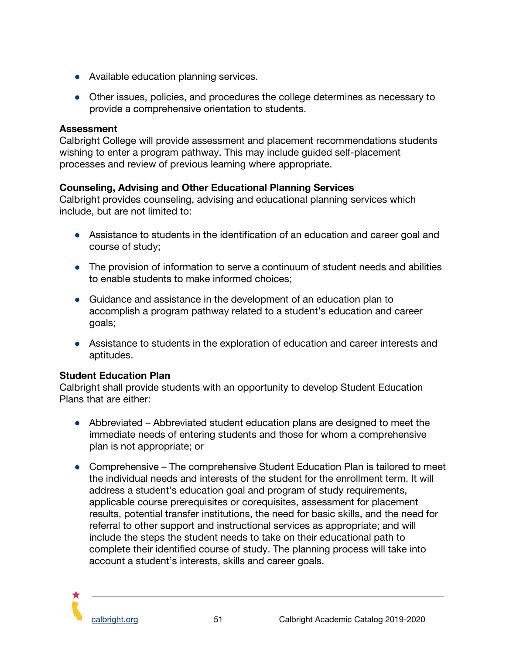- Available education planning services.
- Other issues, policies, and procedures the college determines as necessary to provide a comprehensive orientation to students.

#### **Assessment**

Calbright College will provide assessment and placement recommendations students wishing to enter a program pathway. This may include guided self-placement processes and review of previous learning where appropriate.

#### **Counseling, Advising and Other Educational Planning Services**

Calbright provides counseling, advising and educational planning services which include, but are not limited to:

- Assistance to students in the identification of an education and career goal and course of study;
- The provision of information to serve a continuum of student needs and abilities to enable students to make informed choices;
- Guidance and assistance in the development of an education plan to accomplish a program pathway related to a student's education and career goals;
- Assistance to students in the exploration of education and career interests and aptitudes.

#### **Student Education Plan**

Calbright shall provide students with an opportunity to develop Student Education Plans that are either:

- Abbreviated Abbreviated student education plans are designed to meet the immediate needs of entering students and those for whom a comprehensive plan is not appropriate; or
- Comprehensive The comprehensive Student Education Plan is tailored to meet the individual needs and interests of the student for the enrollment term. It will address a student's education goal and program of study requirements, applicable course prerequisites or corequisites, assessment for placement results, potential transfer institutions, the need for basic skills, and the need for referral to other support and instructional services as appropriate; and will include the steps the student needs to take on their educational path to complete their identified course of study. The planning process will take into account a student's interests, skills and career goals.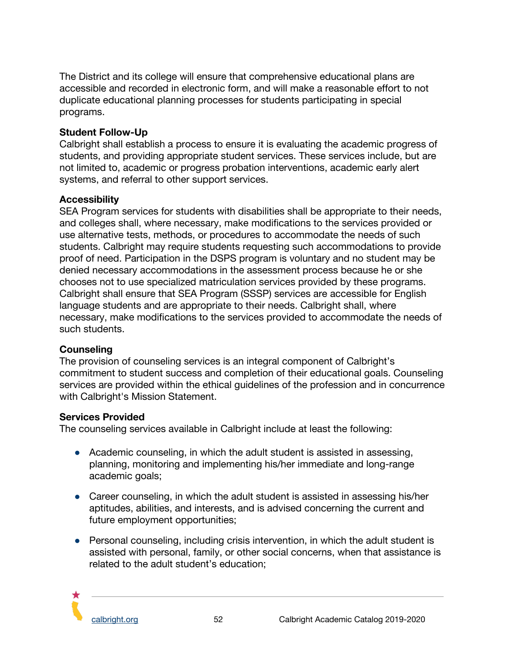The District and its college will ensure that comprehensive educational plans are accessible and recorded in electronic form, and will make a reasonable effort to not duplicate educational planning processes for students participating in special programs.

#### **Student Follow-Up**

Calbright shall establish a process to ensure it is evaluating the academic progress of students, and providing appropriate student services. These services include, but are not limited to, academic or progress probation interventions, academic early alert systems, and referral to other support services.

#### **Accessibility**

SEA Program services for students with disabilities shall be appropriate to their needs, and colleges shall, where necessary, make modifications to the services provided or use alternative tests, methods, or procedures to accommodate the needs of such students. Calbright may require students requesting such accommodations to provide proof of need. Participation in the DSPS program is voluntary and no student may be denied necessary accommodations in the assessment process because he or she chooses not to use specialized matriculation services provided by these programs. Calbright shall ensure that SEA Program (SSSP) services are accessible for English language students and are appropriate to their needs. Calbright shall, where necessary, make modifications to the services provided to accommodate the needs of such students.

#### **Counseling**

The provision of counseling services is an integral component of Calbright's commitment to student success and completion of their educational goals. Counseling services are provided within the ethical guidelines of the profession and in concurrence with Calbright's Mission Statement.

#### **Services Provided**

The counseling services available in Calbright include at least the following:

- Academic counseling, in which the adult student is assisted in assessing, planning, monitoring and implementing his/her immediate and long-range academic goals;
- Career counseling, in which the adult student is assisted in assessing his/her aptitudes, abilities, and interests, and is advised concerning the current and future employment opportunities;
- Personal counseling, including crisis intervention, in which the adult student is assisted with personal, family, or other social concerns, when that assistance is related to the adult student's education;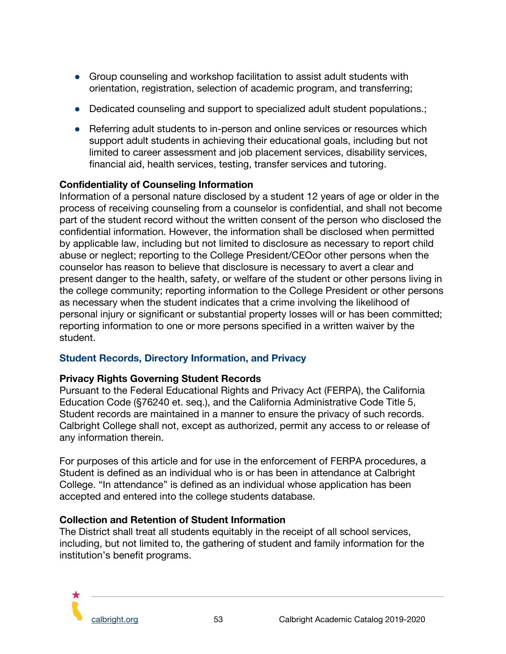- Group counseling and workshop facilitation to assist adult students with orientation, registration, selection of academic program, and transferring;
- Dedicated counseling and support to specialized adult student populations.;
- Referring adult students to in-person and online services or resources which support adult students in achieving their educational goals, including but not limited to career assessment and job placement services, disability services, financial aid, health services, testing, transfer services and tutoring.

## **Confidentiality of Counseling Information**

Information of a personal nature disclosed by a student 12 years of age or older in the process of receiving counseling from a counselor is confidential, and shall not become part of the student record without the written consent of the person who disclosed the confidential information. However, the information shall be disclosed when permitted by applicable law, including but not limited to disclosure as necessary to report child abuse or neglect; reporting to the College President/CEOor other persons when the counselor has reason to believe that disclosure is necessary to avert a clear and present danger to the health, safety, or welfare of the student or other persons living in the college community; reporting information to the College President or other persons as necessary when the student indicates that a crime involving the likelihood of personal injury or significant or substantial property losses will or has been committed; reporting information to one or more persons specified in a written waiver by the student.

#### <span id="page-53-0"></span>**Student Records, Directory Information, and Privacy**

#### **Privacy Rights Governing Student Records**

Pursuant to the Federal Educational Rights and Privacy Act (FERPA), the California Education Code (§76240 et. seq.), and the California Administrative Code Title 5, Student records are maintained in a manner to ensure the privacy of such records. Calbright College shall not, except as authorized, permit any access to or release of any information therein.

For purposes of this article and for use in the enforcement of FERPA procedures, a Student is defined as an individual who is or has been in attendance at Calbright College. "In attendance" is defined as an individual whose application has been accepted and entered into the college students database.

#### **Collection and Retention of Student Information**

The District shall treat all students equitably in the receipt of all school services, including, but not limited to, the gathering of student and family information for the institution's benefit programs.

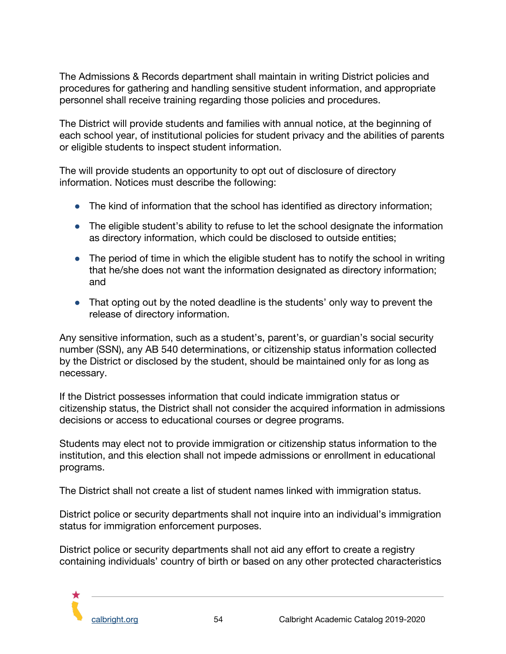The Admissions & Records department shall maintain in writing District policies and procedures for gathering and handling sensitive student information, and appropriate personnel shall receive training regarding those policies and procedures.

The District will provide students and families with annual notice, at the beginning of each school year, of institutional policies for student privacy and the abilities of parents or eligible students to inspect student information.

The will provide students an opportunity to opt out of disclosure of directory information. Notices must describe the following:

- The kind of information that the school has identified as directory information;
- The eligible student's ability to refuse to let the school designate the information as directory information, which could be disclosed to outside entities;
- The period of time in which the eligible student has to notify the school in writing that he/she does not want the information designated as directory information; and
- That opting out by the noted deadline is the students' only way to prevent the release of directory information.

Any sensitive information, such as a student's, parent's, or guardian's social security number (SSN), any AB 540 determinations, or citizenship status information collected by the District or disclosed by the student, should be maintained only for as long as necessary.

If the District possesses information that could indicate immigration status or citizenship status, the District shall not consider the acquired information in admissions decisions or access to educational courses or degree programs.

Students may elect not to provide immigration or citizenship status information to the institution, and this election shall not impede admissions or enrollment in educational programs.

The District shall not create a list of student names linked with immigration status.

District police or security departments shall not inquire into an individual's immigration status for immigration enforcement purposes.

District police or security departments shall not aid any effort to create a registry containing individuals' country of birth or based on any other protected characteristics

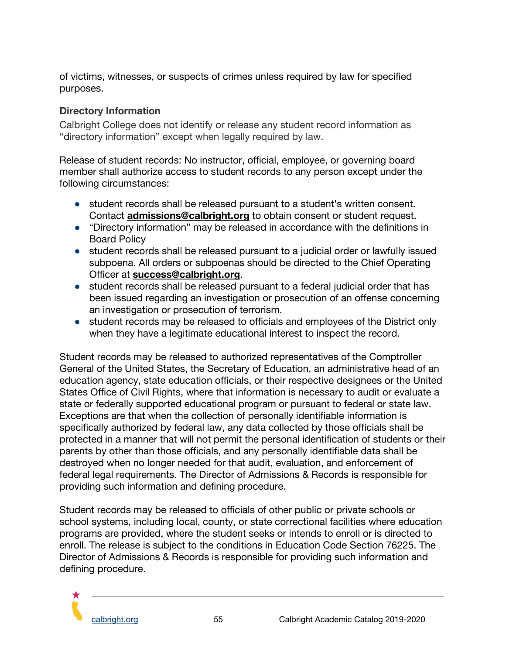of victims, witnesses, or suspects of crimes unless required by law for specified purposes.

## **Directory Information**

Calbright College does not identify or release any student record information as "directory information" except when legally required by law.

Release of student records: No instructor, official, employee, or governing board member shall authorize access to student records to any person except under the following circumstances:

- student records shall be released pursuant to a student's written consent. Contact **[admissions@calbright.org](mailto:admissions@calbright.org)** to obtain consent or student request.
- "Directory information" may be released in accordance with the definitions in Board Policy
- student records shall be released pursuant to a judicial order or lawfully issued subpoena. All orders or subpoenas should be directed to the Chief Operating Officer at **[success@calbright.org](mailto:success@calbright.org)**.
- student records shall be released pursuant to a federal judicial order that has been issued regarding an investigation or prosecution of an offense concerning an investigation or prosecution of terrorism.
- student records may be released to officials and employees of the District only when they have a legitimate educational interest to inspect the record.

Student records may be released to authorized representatives of the Comptroller General of the United States, the Secretary of Education, an administrative head of an education agency, state education officials, or their respective designees or the United States Office of Civil Rights, where that information is necessary to audit or evaluate a state or federally supported educational program or pursuant to federal or state law. Exceptions are that when the collection of personally identifiable information is specifically authorized by federal law, any data collected by those officials shall be protected in a manner that will not permit the personal identification of students or their parents by other than those officials, and any personally identifiable data shall be destroyed when no longer needed for that audit, evaluation, and enforcement of federal legal requirements. The Director of Admissions & Records is responsible for providing such information and defining procedure.

Student records may be released to officials of other public or private schools or school systems, including local, county, or state correctional facilities where education programs are provided, where the student seeks or intends to enroll or is directed to enroll. The release is subject to the conditions in Education Code Section 76225. The Director of Admissions & Records is responsible for providing such information and defining procedure.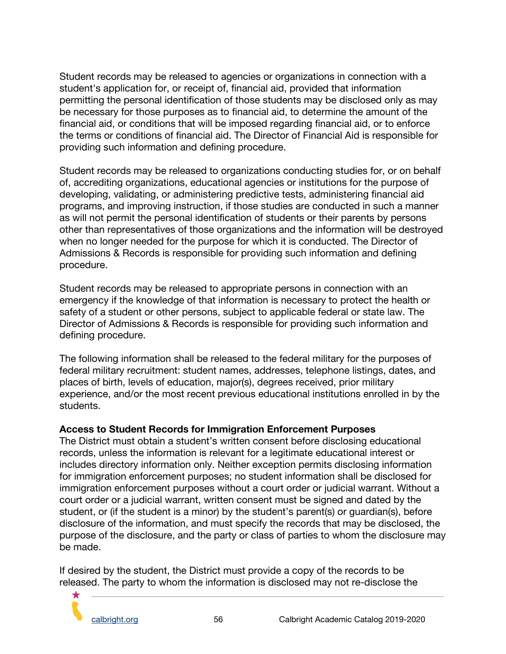Student records may be released to agencies or organizations in connection with a student's application for, or receipt of, financial aid, provided that information permitting the personal identification of those students may be disclosed only as may be necessary for those purposes as to financial aid, to determine the amount of the financial aid, or conditions that will be imposed regarding financial aid, or to enforce the terms or conditions of financial aid. The Director of Financial Aid is responsible for providing such information and defining procedure.

Student records may be released to organizations conducting studies for, or on behalf of, accrediting organizations, educational agencies or institutions for the purpose of developing, validating, or administering predictive tests, administering financial aid programs, and improving instruction, if those studies are conducted in such a manner as will not permit the personal identification of students or their parents by persons other than representatives of those organizations and the information will be destroyed when no longer needed for the purpose for which it is conducted. The Director of Admissions & Records is responsible for providing such information and defining procedure.

Student records may be released to appropriate persons in connection with an emergency if the knowledge of that information is necessary to protect the health or safety of a student or other persons, subject to applicable federal or state law. The Director of Admissions & Records is responsible for providing such information and defining procedure.

The following information shall be released to the federal military for the purposes of federal military recruitment: student names, addresses, telephone listings, dates, and places of birth, levels of education, major(s), degrees received, prior military experience, and/or the most recent previous educational institutions enrolled in by the students.

#### **Access to Student Records for Immigration Enforcement Purposes**

The District must obtain a student's written consent before disclosing educational records, unless the information is relevant for a legitimate educational interest or includes directory information only. Neither exception permits disclosing information for immigration enforcement purposes; no student information shall be disclosed for immigration enforcement purposes without a court order or judicial warrant. Without a court order or a judicial warrant, written consent must be signed and dated by the student, or (if the student is a minor) by the student's parent(s) or guardian(s), before disclosure of the information, and must specify the records that may be disclosed, the purpose of the disclosure, and the party or class of parties to whom the disclosure may be made.

If desired by the student, the District must provide a copy of the records to be released. The party to whom the information is disclosed may not re-disclose the

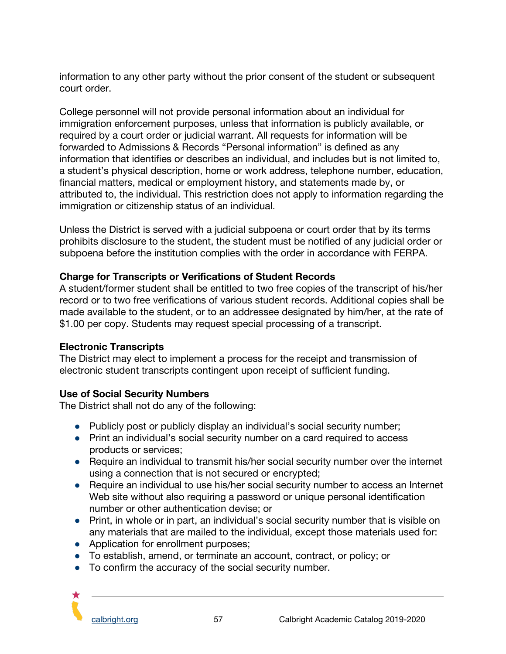information to any other party without the prior consent of the student or subsequent court order.

College personnel will not provide personal information about an individual for immigration enforcement purposes, unless that information is publicly available, or required by a court order or judicial warrant. All requests for information will be forwarded to Admissions & Records "Personal information" is defined as any information that identifies or describes an individual, and includes but is not limited to, a student's physical description, home or work address, telephone number, education, financial matters, medical or employment history, and statements made by, or attributed to, the individual. This restriction does not apply to information regarding the immigration or citizenship status of an individual.

Unless the District is served with a judicial subpoena or court order that by its terms prohibits disclosure to the student, the student must be notified of any judicial order or subpoena before the institution complies with the order in accordance with FERPA.

#### **Charge for Transcripts or Verifications of Student Records**

A student/former student shall be entitled to two free copies of the transcript of his/her record or to two free verifications of various student records. Additional copies shall be made available to the student, or to an addressee designated by him/her, at the rate of \$1.00 per copy. Students may request special processing of a transcript.

#### **Electronic Transcripts**

The District may elect to implement a process for the receipt and transmission of electronic student transcripts contingent upon receipt of sufficient funding.

#### **Use of Social Security Numbers**

The District shall not do any of the following:

- Publicly post or publicly display an individual's social security number;
- Print an individual's social security number on a card required to access products or services;
- Require an individual to transmit his/her social security number over the internet using a connection that is not secured or encrypted;
- Require an individual to use his/her social security number to access an Internet Web site without also requiring a password or unique personal identification number or other authentication devise; or
- Print, in whole or in part, an individual's social security number that is visible on any materials that are mailed to the individual, except those materials used for:
- Application for enrollment purposes;
- To establish, amend, or terminate an account, contract, or policy; or
- To confirm the accuracy of the social security number.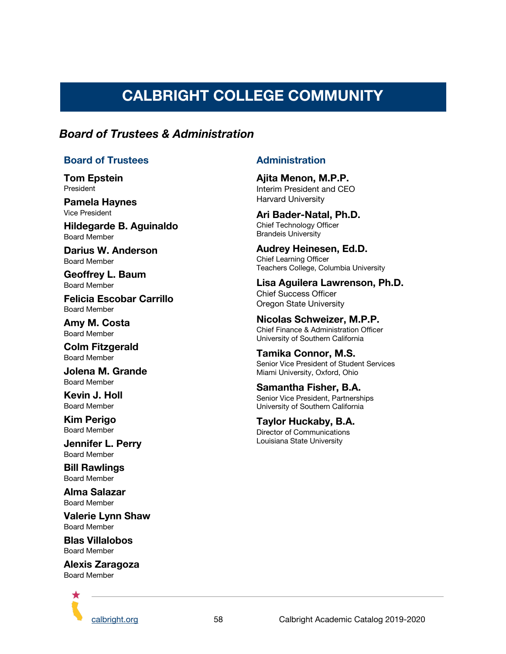# **CALBRIGHT COLLEGE COMMUNITY**

## <span id="page-58-0"></span>*Board of Trustees & Administration*

#### **Board of Trustees**

**Tom Epstein** President

**Pamela Haynes** Vice President

**Hildegarde B. Aguinaldo** Board Member

**Darius W. Anderson** Board Member

**Geoffrey L. Baum** Board Member

**Felicia Escobar Carrillo** Board Member

**Amy M. Costa** Board Member

**Colm Fitzgerald** Board Member

**Jolena M. Grande** Board Member

**Kevin J. Holl** Board Member

**Kim Perigo** Board Member

**Jennifer L. Perry** Board Member

**Bill Rawlings** Board Member

**Alma Salazar** Board Member

**Valerie Lynn Shaw** Board Member

**Blas Villalobos** Board Member

**Alexis Zaragoza** Board Member



#### **Administration**

**Ajita Menon, M.P.P.** Interim President and CEO Harvard University

**Ari Bader-Natal, Ph.D.** Chief Technology Officer Brandeis University

**Audrey Heinesen, Ed.D.** Chief Learning Officer Teachers College, Columbia University

**Lisa Aguilera Lawrenson, Ph.D.** Chief Success Officer Oregon State University

#### **Nicolas Schweizer, M.P.P.**

Chief Finance & Administration Officer University of Southern California

**Tamika Connor, M.S.** Senior Vice President of Student Services Miami University, Oxford, Ohio

#### **Samantha Fisher, B.A.** Senior Vice President, Partnerships University of Southern California

**Taylor Huckaby, B.A.** Director of Communications Louisiana State University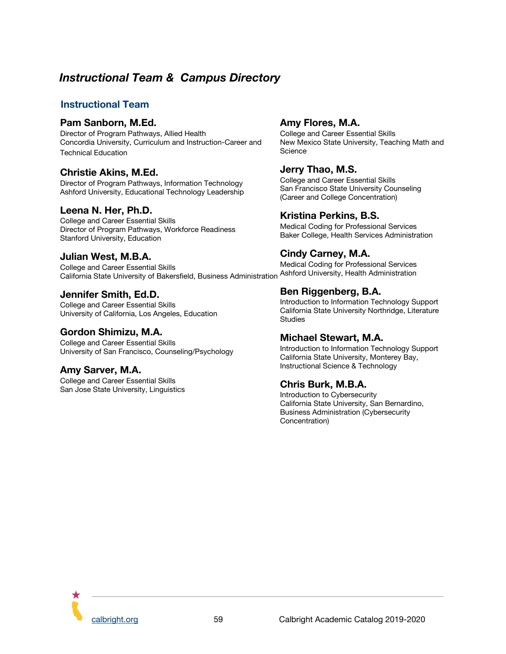# *Instructional Team & Campus Directory*

#### <span id="page-59-0"></span>**Instructional Team**

#### **Pam Sanborn, M.Ed.**

Director of Program Pathways, Allied Health Concordia University, Curriculum and Instruction-Career and Technical Education

#### **Christie Akins, M.Ed.**

Director of Program Pathways, Information Technology Ashford University, Educational Technology Leadership

#### **Leena N. Her, Ph.D.**

College and Career Essential Skills Director of Program Pathways, Workforce Readiness Stanford University, Education

#### **Julian West, M.B.A.**

College and Career Essential Skills California State University of Bakersfield, Business Administration

#### **Jennifer Smith, Ed.D.**

College and Career Essential Skills University of California, Los Angeles, Education

#### **Gordon Shimizu, M.A.**

College and Career Essential Skills University of San Francisco, Counseling/Psychology

#### **Amy Sarver, M.A.**

College and Career Essential Skills San Jose State University, Linguistics

#### **Amy Flores, M.A.**

College and Career Essential Skills New Mexico State University, Teaching Math and **Science** 

#### **Jerry Thao, M.S.**

College and Career Essential Skills San Francisco State University Counseling (Career and College Concentration)

#### **Kristina Perkins, B.S.**

Medical Coding for Professional Services Baker College, Health Services Administration

#### **Cindy Carney, M.A.**

Medical Coding for Professional Services Ashford University, Health Administration

#### **Ben Riggenberg, B.A.**

Introduction to Information Technology Support California State University Northridge, Literature **Studies** 

#### **Michael Stewart, M.A.**

Introduction to Information Technology Support California State University, Monterey Bay, Instructional Science & Technology

#### **Chris Burk, M.B.A.**

Introduction to Cybersecurity California State University, San Bernardino, Business Administration (Cybersecurity Concentration)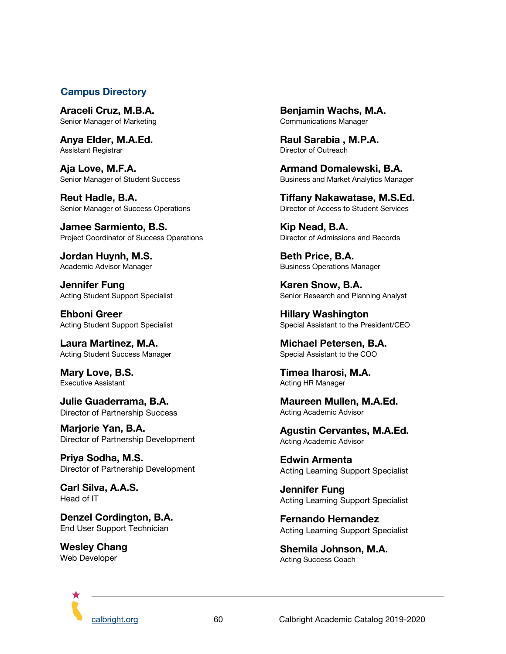#### <span id="page-60-0"></span>**Campus Directory**

**Araceli Cruz, M.B.A.** Senior Manager of Marketing

**Anya Elder, M.A.Ed.** Assistant Registrar

**Aja Love, M.F.A.** Senior Manager of Student Success

**Reut Hadle, B.A.** Senior Manager of Success Operations

**Jamee Sarmiento, B.S.** Project Coordinator of Success Operations

**Jordan Huynh, M.S.** Academic Advisor Manager

**Jennifer Fung** Acting Student Support Specialist

**Ehboni Greer** Acting Student Support Specialist

**Laura Martinez, M.A.** Acting Student Success Manager

**Mary Love, B.S.** Executive Assistant

**Julie Guaderrama, B.A.** Director of Partnership Success

**Marjorie Yan, B.A.** Director of Partnership Development

**Priya Sodha, M.S.** Director of Partnership Development

**Carl Silva, A.A.S.** Head of IT

**Denzel Cordington, B.A.** End User Support Technician

**Wesley Chang** Web Developer

**Benjamin Wachs, M.A.** Communications Manager

**Raul Sarabia , M.P.A.** Director of Outreach

**Armand Domalewski, B.A.** Business and Market Analytics Manager

**Tiffany Nakawatase, M.S.Ed.** Director of Access to Student Services

**Kip Nead, B.A.** Director of Admissions and Records

**Beth Price, B.A.** Business Operations Manager

**Karen Snow, B.A.** Senior Research and Planning Analyst

**Hillary Washington** Special Assistant to the President/CEO

**Michael Petersen, B.A.** Special Assistant to the COO

**Timea Iharosi, M.A.** Acting HR Manager

**Maureen Mullen, M.A.Ed.** Acting Academic Advisor

**Agustin Cervantes, M.A.Ed.** Acting Academic Advisor

**Edwin Armenta** Acting Learning Support Specialist

**Jennifer Fung** Acting Learning Support Specialist

**Fernando Hernandez** Acting Learning Support Specialist

**Shemila Johnson, M.A.** Acting Success Coach